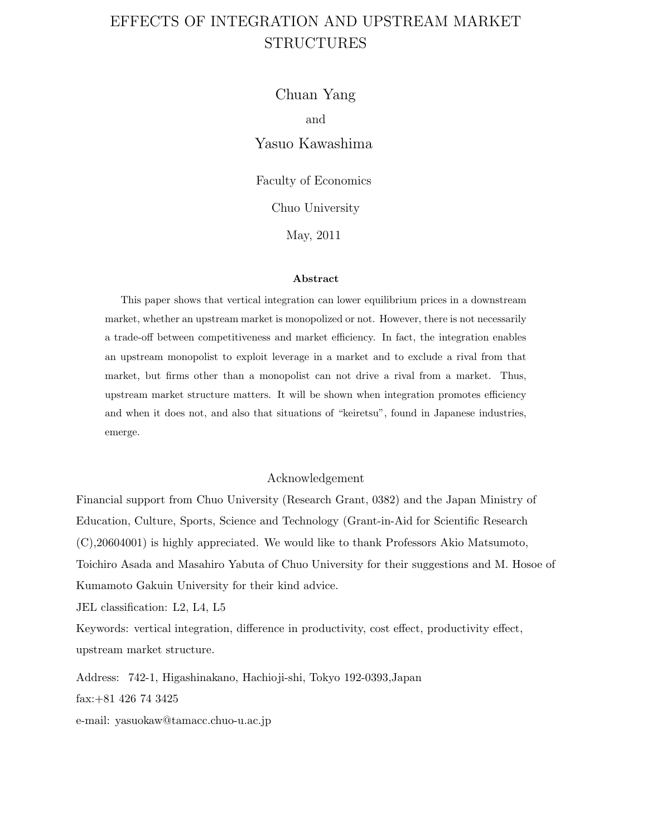# EFFECTS OF INTEGRATION AND UPSTREAM MARKET STRUCTURES

Chuan Yang and Yasuo Kawashima

Faculty of Economics

Chuo University

May, 2011

#### **Abstract**

This paper shows that vertical integration can lower equilibrium prices in a downstream market, whether an upstream market is monopolized or not. However, there is not necessarily a trade-off between competitiveness and market efficiency. In fact, the integration enables an upstream monopolist to exploit leverage in a market and to exclude a rival from that market, but firms other than a monopolist can not drive a rival from a market. Thus, upstream market structure matters. It will be shown when integration promotes efficiency and when it does not, and also that situations of "keiretsu", found in Japanese industries, emerge.

### Acknowledgement

Financial support from Chuo University (Research Grant, 0382) and the Japan Ministry of Education, Culture, Sports, Science and Technology (Grant-in-Aid for Scientific Research (C),20604001) is highly appreciated. We would like to thank Professors Akio Matsumoto, Toichiro Asada and Masahiro Yabuta of Chuo University for their suggestions and M. Hosoe of Kumamoto Gakuin University for their kind advice.

JEL classification: L2, L4, L5

Keywords: vertical integration, difference in productivity, cost effect, productivity effect, upstream market structure.

Address: 742-1, Higashinakano, Hachioji-shi, Tokyo 192-0393,Japan fax:+81 426 74 3425

e-mail: yasuokaw@tamacc.chuo-u.ac.jp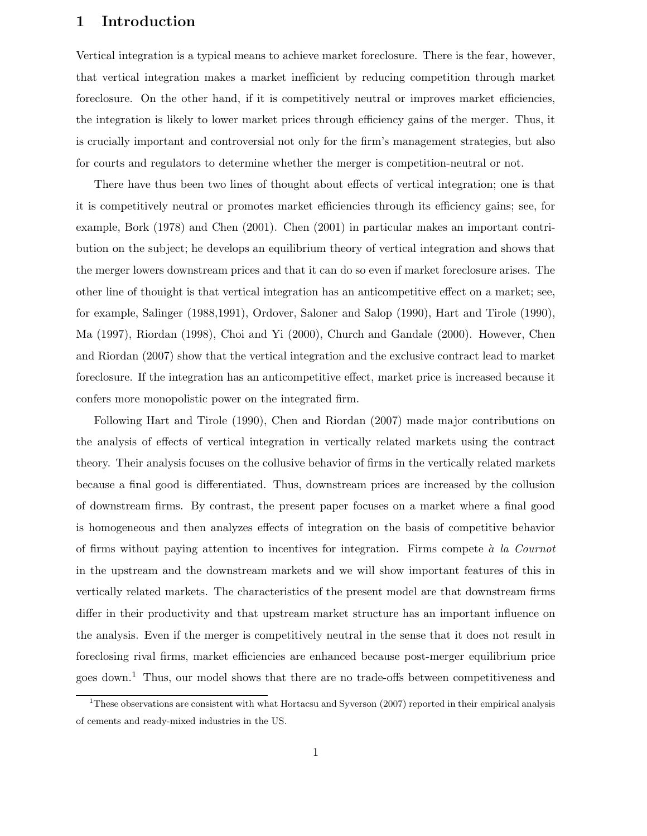## **1 Introduction**

Vertical integration is a typical means to achieve market foreclosure. There is the fear, however, that vertical integration makes a market inefficient by reducing competition through market foreclosure. On the other hand, if it is competitively neutral or improves market efficiencies, the integration is likely to lower market prices through efficiency gains of the merger. Thus, it is crucially important and controversial not only for the firm's management strategies, but also for courts and regulators to determine whether the merger is competition-neutral or not.

There have thus been two lines of thought about effects of vertical integration; one is that it is competitively neutral or promotes market efficiencies through its efficiency gains; see, for example, Bork (1978) and Chen (2001). Chen (2001) in particular makes an important contribution on the subject; he develops an equilibrium theory of vertical integration and shows that the merger lowers downstream prices and that it can do so even if market foreclosure arises. The other line of thouight is that vertical integration has an anticompetitive effect on a market; see, for example, Salinger (1988,1991), Ordover, Saloner and Salop (1990), Hart and Tirole (1990), Ma (1997), Riordan (1998), Choi and Yi (2000), Church and Gandale (2000). However, Chen and Riordan (2007) show that the vertical integration and the exclusive contract lead to market foreclosure. If the integration has an anticompetitive effect, market price is increased because it confers more monopolistic power on the integrated firm.

Following Hart and Tirole (1990), Chen and Riordan (2007) made major contributions on the analysis of effects of vertical integration in vertically related markets using the contract theory. Their analysis focuses on the collusive behavior of firms in the vertically related markets because a final good is differentiated. Thus, downstream prices are increased by the collusion of downstream firms. By contrast, the present paper focuses on a market where a final good is homogeneous and then analyzes effects of integration on the basis of competitive behavior of firms without paying attention to incentives for integration. Firms compete `a *la Cournot* in the upstream and the downstream markets and we will show important features of this in vertically related markets. The characteristics of the present model are that downstream firms differ in their productivity and that upstream market structure has an important influence on the analysis. Even if the merger is competitively neutral in the sense that it does not result in foreclosing rival firms, market efficiencies are enhanced because post-merger equilibrium price goes down.<sup>1</sup> Thus, our model shows that there are no trade-offs between competitiveness and

<sup>&</sup>lt;sup>1</sup>These observations are consistent with what Hortacsu and Syverson (2007) reported in their empirical analysis of cements and ready-mixed industries in the US.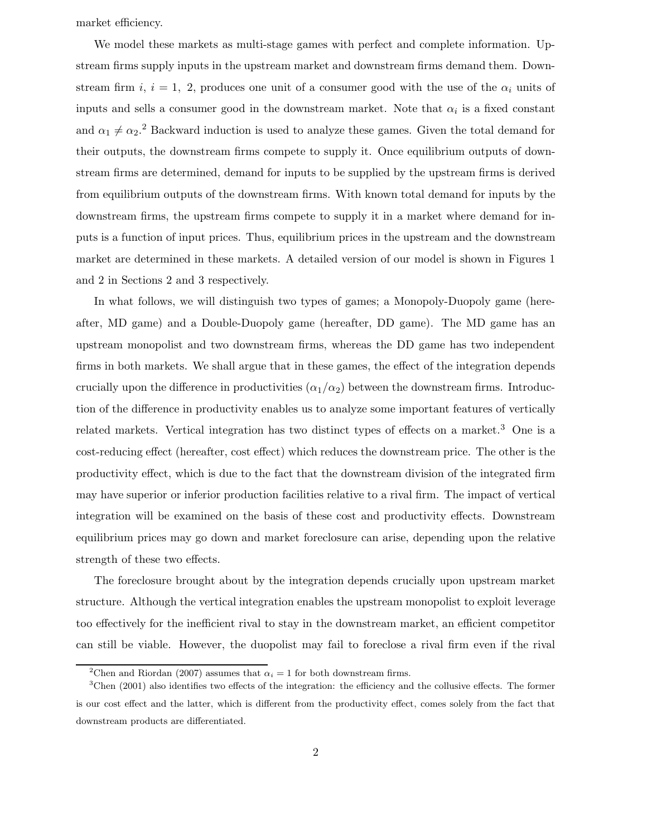market efficiency.

We model these markets as multi-stage games with perfect and complete information. Upstream firms supply inputs in the upstream market and downstream firms demand them. Downstream firm i,  $i = 1, 2$ , produces one unit of a consumer good with the use of the  $\alpha_i$  units of inputs and sells a consumer good in the downstream market. Note that  $\alpha_i$  is a fixed constant and  $\alpha_1 \neq \alpha_2$ <sup>2</sup> Backward induction is used to analyze these games. Given the total demand for their outputs, the downstream firms compete to supply it. Once equilibrium outputs of downstream firms are determined, demand for inputs to be supplied by the upstream firms is derived from equilibrium outputs of the downstream firms. With known total demand for inputs by the downstream firms, the upstream firms compete to supply it in a market where demand for inputs is a function of input prices. Thus, equilibrium prices in the upstream and the downstream market are determined in these markets. A detailed version of our model is shown in Figures 1 and 2 in Sections 2 and 3 respectively.

In what follows, we will distinguish two types of games; a Monopoly-Duopoly game (hereafter, MD game) and a Double-Duopoly game (hereafter, DD game). The MD game has an upstream monopolist and two downstream firms, whereas the DD game has two independent firms in both markets. We shall argue that in these games, the effect of the integration depends crucially upon the difference in productivities  $(\alpha_1/\alpha_2)$  between the downstream firms. Introduction of the difference in productivity enables us to analyze some important features of vertically related markets. Vertical integration has two distinct types of effects on a market.<sup>3</sup> One is a cost-reducing effect (hereafter, cost effect) which reduces the downstream price. The other is the productivity effect, which is due to the fact that the downstream division of the integrated firm may have superior or inferior production facilities relative to a rival firm. The impact of vertical integration will be examined on the basis of these cost and productivity effects. Downstream equilibrium prices may go down and market foreclosure can arise, depending upon the relative strength of these two effects.

The foreclosure brought about by the integration depends crucially upon upstream market structure. Although the vertical integration enables the upstream monopolist to exploit leverage too effectively for the inefficient rival to stay in the downstream market, an efficient competitor can still be viable. However, the duopolist may fail to foreclose a rival firm even if the rival

<sup>&</sup>lt;sup>2</sup>Chen and Riordan (2007) assumes that  $\alpha_i = 1$  for both downstream firms.

<sup>&</sup>lt;sup>3</sup>Chen (2001) also identifies two effects of the integration: the efficiency and the collusive effects. The former is our cost effect and the latter, which is different from the productivity effect, comes solely from the fact that downstream products are differentiated.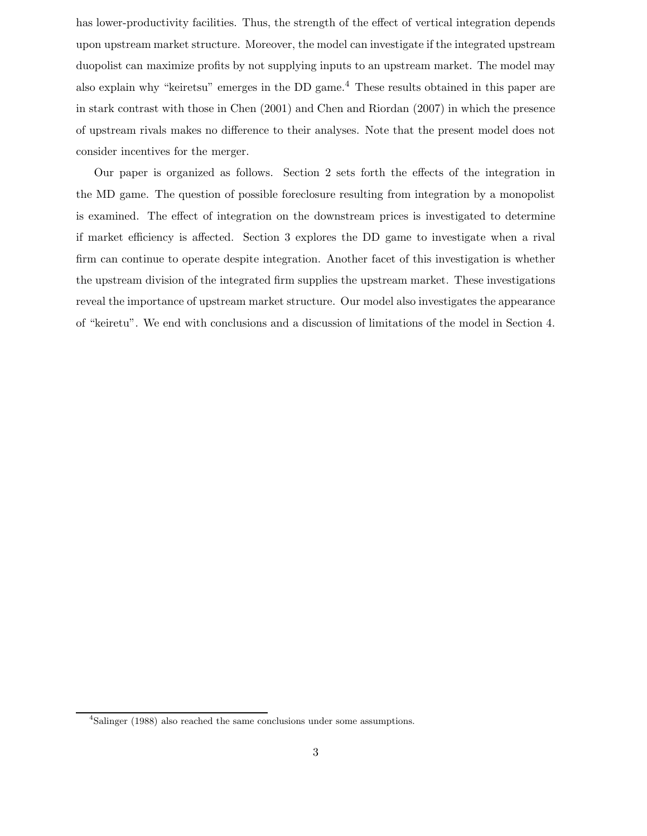has lower-productivity facilities. Thus, the strength of the effect of vertical integration depends upon upstream market structure. Moreover, the model can investigate if the integrated upstream duopolist can maximize profits by not supplying inputs to an upstream market. The model may also explain why "keiretsu" emerges in the DD game.<sup>4</sup> These results obtained in this paper are in stark contrast with those in Chen (2001) and Chen and Riordan (2007) in which the presence of upstream rivals makes no difference to their analyses. Note that the present model does not consider incentives for the merger.

Our paper is organized as follows. Section 2 sets forth the effects of the integration in the MD game. The question of possible foreclosure resulting from integration by a monopolist is examined. The effect of integration on the downstream prices is investigated to determine if market efficiency is affected. Section 3 explores the DD game to investigate when a rival firm can continue to operate despite integration. Another facet of this investigation is whether the upstream division of the integrated firm supplies the upstream market. These investigations reveal the importance of upstream market structure. Our model also investigates the appearance of "keiretu". We end with conclusions and a discussion of limitations of the model in Section 4.

<sup>4</sup>Salinger (1988) also reached the same conclusions under some assumptions.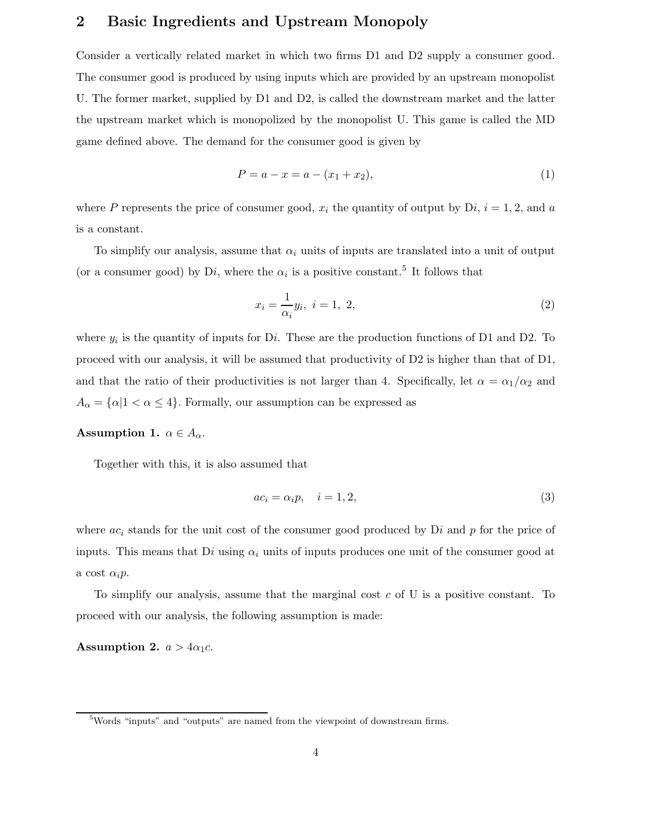# **2 Basic Ingredients and Upstream Monopoly**

Consider a vertically related market in which two firms D1 and D2 supply a consumer good. The consumer good is produced by using inputs which are provided by an upstream monopolist U. The former market, supplied by D1 and D2, is called the downstream market and the latter the upstream market which is monopolized by the monopolist U. This game is called the MD game defined above. The demand for the consumer good is given by

$$
P = a - x = a - (x_1 + x_2),
$$
\n(1)

where P represents the price of consumer good,  $x_i$  the quantity of output by Di,  $i = 1, 2$ , and a is a constant.

To simplify our analysis, assume that  $\alpha_i$  units of inputs are translated into a unit of output (or a consumer good) by Di, where the  $\alpha_i$  is a positive constant.<sup>5</sup> It follows that

$$
x_i = \frac{1}{\alpha_i} y_i, \ i = 1, \ 2,
$$
\n<sup>(2)</sup>

where  $y_i$  is the quantity of inputs for Di. These are the production functions of D1 and D2. To proceed with our analysis, it will be assumed that productivity of D2 is higher than that of D1, and that the ratio of their productivities is not larger than 4. Specifically, let  $\alpha = \alpha_1/\alpha_2$  and  $A_{\alpha} = {\alpha | 1 < \alpha \le 4}$ . Formally, our assumption can be expressed as

### **Assumption 1.**  $\alpha \in A_{\alpha}$ .

Together with this, it is also assumed that

$$
ac_i = \alpha_i p, \quad i = 1, 2,
$$
\n<sup>(3)</sup>

where  $ac_i$  stands for the unit cost of the consumer good produced by Di and p for the price of inputs. This means that  $Di$  using  $\alpha_i$  units of inputs produces one unit of the consumer good at a cost  $\alpha_i p$ .

To simplify our analysis, assume that the marginal cost  $c$  of U is a positive constant. To proceed with our analysis, the following assumption is made:

**Assumption 2.**  $a > 4\alpha_1c$ .

<sup>5</sup>Words "inputs" and "outputs" are named from the viewpoint of downstream firms.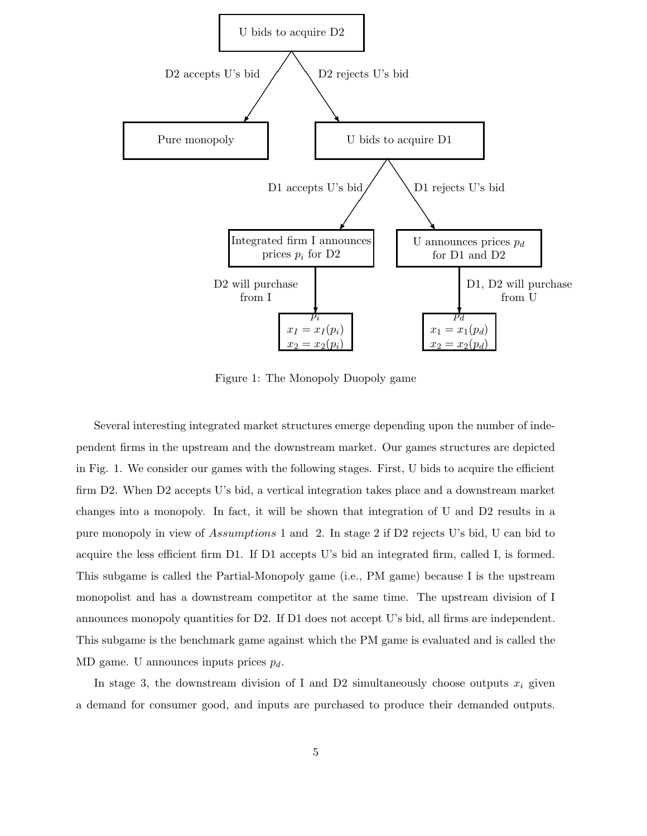

Figure 1: The Monopoly Duopoly game

Several interesting integrated market structures emerge depending upon the number of independent firms in the upstream and the downstream market. Our games structures are depicted in Fig. 1. We consider our games with the following stages. First, U bids to acquire the efficient firm D2. When D2 accepts U's bid, a vertical integration takes place and a downstream market changes into a monopoly. In fact, it will be shown that integration of U and D2 results in a pure monopoly in view of Assumptions 1 and 2. In stage 2 if D2 rejects U's bid, U can bid to acquire the less efficient firm D1. If D1 accepts U's bid an integrated firm, called I, is formed. This subgame is called the Partial-Monopoly game (i.e., PM game) because I is the upstream monopolist and has a downstream competitor at the same time. The upstream division of I announces monopoly quantities for D2. If D1 does not accept U's bid, all firms are independent. This subgame is the benchmark game against which the PM game is evaluated and is called the MD game. U announces inputs prices  $p_d$ .

In stage 3, the downstream division of I and D2 simultaneously choose outputs  $x_i$  given a demand for consumer good, and inputs are purchased to produce their demanded outputs.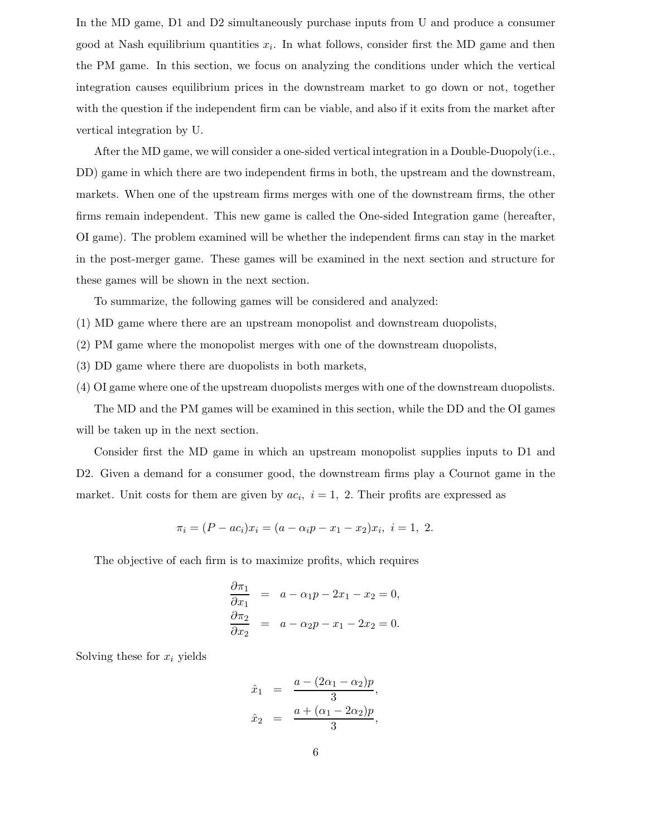In the MD game, D1 and D2 simultaneously purchase inputs from U and produce a consumer good at Nash equilibrium quantities  $x_i$ . In what follows, consider first the MD game and then the PM game. In this section, we focus on analyzing the conditions under which the vertical integration causes equilibrium prices in the downstream market to go down or not, together with the question if the independent firm can be viable, and also if it exits from the market after vertical integration by U.

After the MD game, we will consider a one-sided vertical integration in a Double-Duopoly(i.e., DD) game in which there are two independent firms in both, the upstream and the downstream, markets. When one of the upstream firms merges with one of the downstream firms, the other firms remain independent. This new game is called the One-sided Integration game (hereafter, OI game). The problem examined will be whether the independent firms can stay in the market in the post-merger game. These games will be examined in the next section and structure for these games will be shown in the next section.

To summarize, the following games will be considered and analyzed:

- (1) MD game where there are an upstream monopolist and downstream duopolists,
- (2) PM game where the monopolist merges with one of the downstream duopolists,
- (3) DD game where there are duopolists in both markets,
- (4) OI game where one of the upstream duopolists merges with one of the downstream duopolists.

The MD and the PM games will be examined in this section, while the DD and the OI games will be taken up in the next section.

Consider first the MD game in which an upstream monopolist supplies inputs to D1 and D2. Given a demand for a consumer good, the downstream firms play a Cournot game in the market. Unit costs for them are given by  $ac_i$ ,  $i = 1, 2$ . Their profits are expressed as

$$
\pi_i = (P - ac_i)x_i = (a - \alpha_i p - x_1 - x_2)x_i, \ i = 1, 2.
$$

The objective of each firm is to maximize profits, which requires

$$
\frac{\partial \pi_1}{\partial x_1} = a - \alpha_1 p - 2x_1 - x_2 = 0,
$$
  

$$
\frac{\partial \pi_2}{\partial x_2} = a - \alpha_2 p - x_1 - 2x_2 = 0.
$$

Solving these for  $x_i$  yields

$$
\hat{x}_1 = \frac{a - (2\alpha_1 - \alpha_2)p}{3}, \n\hat{x}_2 = \frac{a + (\alpha_1 - 2\alpha_2)p}{3},
$$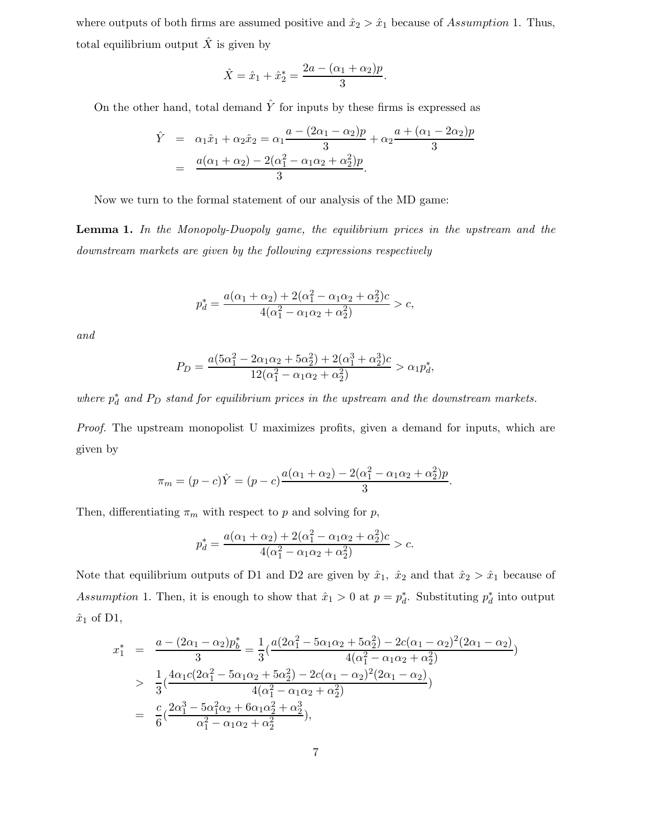where outputs of both firms are assumed positive and  $\hat{x}_2 > \hat{x}_1$  because of Assumption 1. Thus, total equilibrium output  $\hat{X}$  is given by

$$
\hat{X} = \hat{x}_1 + \hat{x}_2^* = \frac{2a - (\alpha_1 + \alpha_2)p}{3}.
$$

On the other hand, total demand  $\hat{Y}$  for inputs by these firms is expressed as

$$
\hat{Y} = \alpha_1 \hat{x}_1 + \alpha_2 \hat{x}_2 = \alpha_1 \frac{a - (2\alpha_1 - \alpha_2)p}{3} + \alpha_2 \frac{a + (\alpha_1 - 2\alpha_2)p}{3} \n= \frac{a(\alpha_1 + \alpha_2) - 2(\alpha_1^2 - \alpha_1\alpha_2 + \alpha_2^2)p}{3}.
$$

Now we turn to the formal statement of our analysis of the MD game:

**Lemma 1.** *In the Monopoly-Duopoly game, the equilibrium prices in the upstream and the downstream markets are given by the following expressions respectively*

$$
p_d^* = \frac{a(\alpha_1 + \alpha_2) + 2(\alpha_1^2 - \alpha_1\alpha_2 + \alpha_2^2)c}{4(\alpha_1^2 - \alpha_1\alpha_2 + \alpha_2^2)} > c,
$$

*and*

$$
P_D = \frac{a(5\alpha_1^2 - 2\alpha_1\alpha_2 + 5\alpha_2^2) + 2(\alpha_1^3 + \alpha_2^3)c}{12(\alpha_1^2 - \alpha_1\alpha_2 + \alpha_2^2)} > \alpha_1 p_d^*,
$$

where  $p_d^*$  and  $P_D$  stand for equilibrium prices in the upstream and the downstream markets.

*Proof.* The upstream monopolist U maximizes profits, given a demand for inputs, which are given by

$$
\pi_m = (p - c)\hat{Y} = (p - c)\frac{a(\alpha_1 + \alpha_2) - 2(\alpha_1^2 - \alpha_1\alpha_2 + \alpha_2^2)p}{3}.
$$

Then, differentiating  $\pi_m$  with respect to p and solving for p,

$$
p_d^* = \frac{a(\alpha_1 + \alpha_2) + 2(\alpha_1^2 - \alpha_1\alpha_2 + \alpha_2^2)c}{4(\alpha_1^2 - \alpha_1\alpha_2 + \alpha_2^2)} > c.
$$

Note that equilibrium outputs of D1 and D2 are given by  $\hat{x}_1$ ,  $\hat{x}_2$  and that  $\hat{x}_2 > \hat{x}_1$  because of Assumption 1. Then, it is enough to show that  $\hat{x}_1 > 0$  at  $p = p_d^*$ . Substituting  $p_d^*$  into output  $\hat{x}_1$  of D1,

$$
x_1^* = \frac{a - (2\alpha_1 - \alpha_2)p_b^*}{3} = \frac{1}{3} \left( \frac{a(2\alpha_1^2 - 5\alpha_1\alpha_2 + 5\alpha_2^2) - 2c(\alpha_1 - \alpha_2)^2(2\alpha_1 - \alpha_2)}{4(\alpha_1^2 - \alpha_1\alpha_2 + \alpha_2^2)} \right)
$$
  
> 
$$
\frac{1}{3} \left( \frac{4\alpha_1c(2\alpha_1^2 - 5\alpha_1\alpha_2 + 5\alpha_2^2) - 2c(\alpha_1 - \alpha_2)^2(2\alpha_1 - \alpha_2)}{4(\alpha_1^2 - \alpha_1\alpha_2 + \alpha_2^2)} \right)
$$
  
= 
$$
\frac{c}{6} \left( \frac{2\alpha_1^3 - 5\alpha_1^2\alpha_2 + 6\alpha_1\alpha_2^2 + \alpha_2^3}{\alpha_1^2 - \alpha_1\alpha_2 + \alpha_2^2} \right),
$$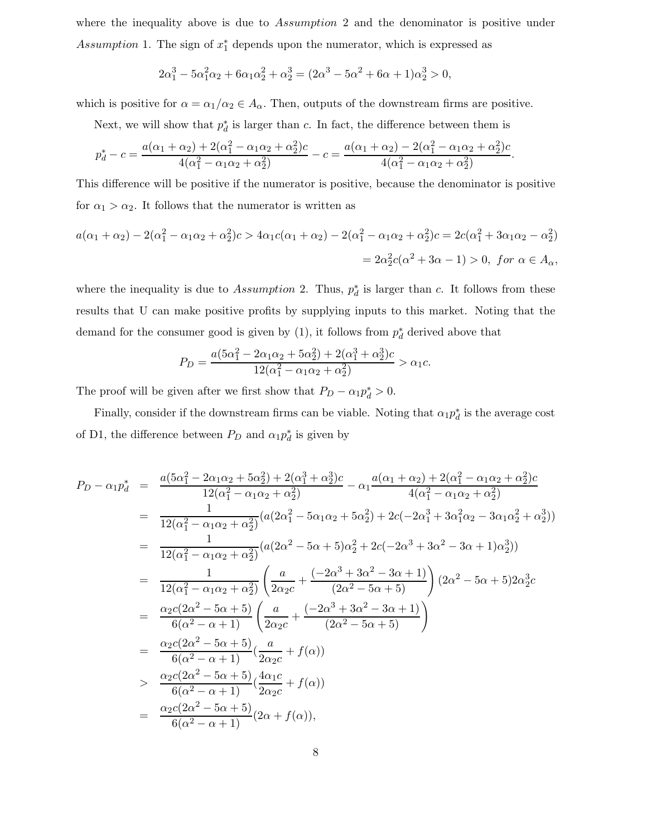where the inequality above is due to Assumption 2 and the denominator is positive under Assumption 1. The sign of  $x_1^*$  depends upon the numerator, which is expressed as

$$
2\alpha_1^3 - 5\alpha_1^2\alpha_2 + 6\alpha_1\alpha_2^2 + \alpha_2^3 = (2\alpha^3 - 5\alpha^2 + 6\alpha + 1)\alpha_2^3 > 0,
$$

which is positive for  $\alpha = \alpha_1/\alpha_2 \in A_\alpha$ . Then, outputs of the downstream firms are positive.

Next, we will show that  $p_d^*$  is larger than c. In fact, the difference between them is

$$
p_d^* - c = \frac{a(\alpha_1 + \alpha_2) + 2(\alpha_1^2 - \alpha_1\alpha_2 + \alpha_2^2)c}{4(\alpha_1^2 - \alpha_1\alpha_2 + \alpha_2^2)} - c = \frac{a(\alpha_1 + \alpha_2) - 2(\alpha_1^2 - \alpha_1\alpha_2 + \alpha_2^2)c}{4(\alpha_1^2 - \alpha_1\alpha_2 + \alpha_2^2)}.
$$

This difference will be positive if the numerator is positive, because the denominator is positive for  $\alpha_1 > \alpha_2$ . It follows that the numerator is written as

$$
a(\alpha_1 + \alpha_2) - 2(\alpha_1^2 - \alpha_1\alpha_2 + \alpha_2^2)c > 4\alpha_1c(\alpha_1 + \alpha_2) - 2(\alpha_1^2 - \alpha_1\alpha_2 + \alpha_2^2)c = 2c(\alpha_1^2 + 3\alpha_1\alpha_2 - \alpha_2^2)
$$
  
=  $2\alpha_2^2c(\alpha^2 + 3\alpha - 1) > 0$ , for  $\alpha \in A_\alpha$ ,

where the inequality is due to Assumption 2. Thus,  $p_d^*$  is larger than c. It follows from these results that U can make positive profits by supplying inputs to this market. Noting that the demand for the consumer good is given by  $(1)$ , it follows from  $p_d^*$  derived above that

$$
P_D = \frac{a(5\alpha_1^2 - 2\alpha_1\alpha_2 + 5\alpha_2^2) + 2(\alpha_1^3 + \alpha_2^3)c}{12(\alpha_1^2 - \alpha_1\alpha_2 + \alpha_2^2)} > \alpha_1c.
$$

The proof will be given after we first show that  $P_D - \alpha_1 p_d^* > 0$ .

Finally, consider if the downstream firms can be viable. Noting that  $\alpha_1 p_d^*$  is the average cost of D1, the difference between  $P_D$  and  $\alpha_1 p_d^*$  is given by

$$
P_{D} - \alpha_{1}p_{d}^{*} = \frac{a(5\alpha_{1}^{2} - 2\alpha_{1}\alpha_{2} + 5\alpha_{2}^{2}) + 2(\alpha_{1}^{3} + \alpha_{2}^{3})c}{12(\alpha_{1}^{2} - \alpha_{1}\alpha_{2} + \alpha_{2}^{2})} - \alpha_{1}\frac{a(\alpha_{1} + \alpha_{2}) + 2(\alpha_{1}^{2} - \alpha_{1}\alpha_{2} + \alpha_{2}^{2})c}{4(\alpha_{1}^{2} - \alpha_{1}\alpha_{2} + \alpha_{2}^{2})}
$$
\n
$$
= \frac{1}{12(\alpha_{1}^{2} - \alpha_{1}\alpha_{2} + \alpha_{2}^{2})}(a(2\alpha_{1}^{2} - 5\alpha_{1}\alpha_{2} + 5\alpha_{2}^{2}) + 2c(-2\alpha_{1}^{3} + 3\alpha_{1}^{2}\alpha_{2} - 3\alpha_{1}\alpha_{2}^{2} + \alpha_{2}^{3}))
$$
\n
$$
= \frac{1}{12(\alpha_{1}^{2} - \alpha_{1}\alpha_{2} + \alpha_{2}^{2})}(a(2\alpha^{2} - 5\alpha + 5)\alpha_{2}^{2} + 2c(-2\alpha^{3} + 3\alpha^{2} - 3\alpha + 1)\alpha_{2}^{3}))
$$
\n
$$
= \frac{1}{12(\alpha_{1}^{2} - \alpha_{1}\alpha_{2} + \alpha_{2}^{2})}\left(\frac{a}{2\alpha_{2}c} + \frac{(-2\alpha^{3} + 3\alpha^{2} - 3\alpha + 1)}{(2\alpha^{2} - 5\alpha + 5)}\right)(2\alpha^{2} - 5\alpha + 5)2\alpha_{2}^{3}c
$$
\n
$$
= \frac{\alpha_{2}c(2\alpha^{2} - 5\alpha + 5)}{6(\alpha^{2} - \alpha + 1)}\left(\frac{a}{2\alpha_{2}c} + \frac{(-2\alpha^{3} + 3\alpha^{2} - 3\alpha + 1)}{(2\alpha^{2} - 5\alpha + 5)}\right)
$$
\n
$$
= \frac{\alpha_{2}c(2\alpha^{2} - 5\alpha + 5)}{6(\alpha^{2} - \alpha + 1)}\left(\frac{4\alpha_{1}c}{2\alpha_{2}c} + f(\alpha)\right)
$$
\n
$$
= \frac{\alpha_{
$$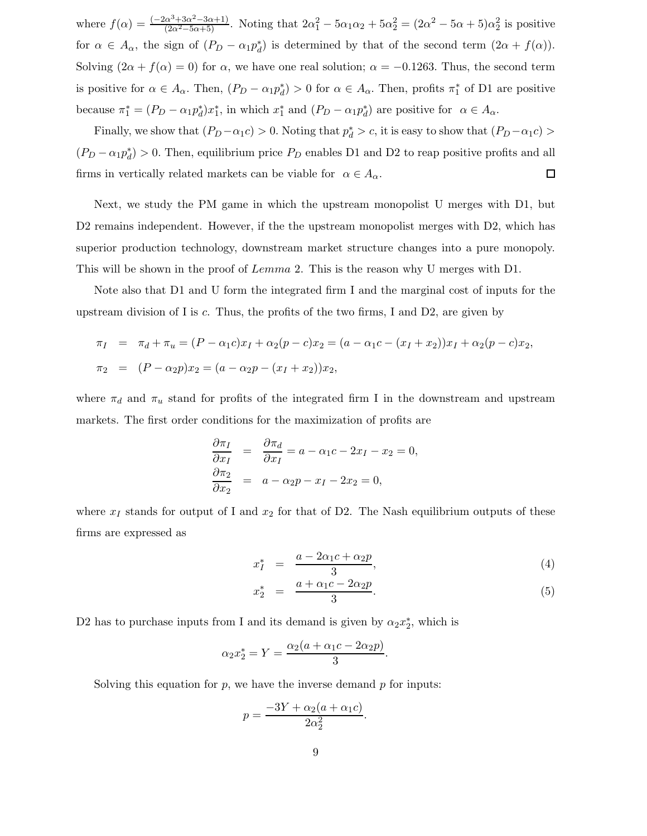where  $f(\alpha) = \frac{(-2\alpha^3 + 3\alpha^2 - 3\alpha + 1)}{(2\alpha^2 - 5\alpha + 5)}$ . Noting that  $2\alpha_1^2 - 5\alpha_1\alpha_2 + 5\alpha_2^2 = (2\alpha^2 - 5\alpha + 5)\alpha_2^2$  is positive for  $\alpha \in A_{\alpha}$ , the sign of  $(P_D - \alpha_1 p_d^*)$  is determined by that of the second term  $(2\alpha + f(\alpha))$ . Solving  $(2\alpha + f(\alpha) = 0)$  for  $\alpha$ , we have one real solution;  $\alpha = -0.1263$ . Thus, the second term is positive for  $\alpha \in A_{\alpha}$ . Then,  $(P_D - \alpha_1 p_d^*) > 0$  for  $\alpha \in A_{\alpha}$ . Then, profits  $\pi_1^*$  of D1 are positive because  $\pi_1^* = (P_D - \alpha_1 p_d^*) x_1^*$ , in which  $x_1^*$  and  $(P_D - \alpha_1 p_d^*)$  are positive for  $\alpha \in A_\alpha$ .

Finally, we show that  $(P_D - \alpha_1 c) > 0$ . Noting that  $p_d^* > c$ , it is easy to show that  $(P_D - \alpha_1 c) >$  $(P_D - \alpha_1 p_d^*) > 0$ . Then, equilibrium price  $P_D$  enables D1 and D2 to reap positive profits and all firms in vertically related markets can be viable for  $\alpha \in A_{\alpha}$ .  $\Box$ 

Next, we study the PM game in which the upstream monopolist U merges with D1, but D2 remains independent. However, if the the upstream monopolist merges with D2, which has superior production technology, downstream market structure changes into a pure monopoly. This will be shown in the proof of Lemma 2. This is the reason why U merges with D1.

Note also that D1 and U form the integrated firm I and the marginal cost of inputs for the upstream division of I is  $c$ . Thus, the profits of the two firms, I and D2, are given by

$$
\pi_I = \pi_d + \pi_u = (P - \alpha_1 c)x_I + \alpha_2 (p - c)x_2 = (a - \alpha_1 c - (x_I + x_2))x_I + \alpha_2 (p - c)x_2,
$$
  

$$
\pi_2 = (P - \alpha_2 p)x_2 = (a - \alpha_2 p - (x_I + x_2))x_2,
$$

where  $\pi_d$  and  $\pi_u$  stand for profits of the integrated firm I in the downstream and upstream markets. The first order conditions for the maximization of profits are

$$
\frac{\partial \pi_I}{\partial x_I} = \frac{\partial \pi_d}{\partial x_I} = a - \alpha_1 c - 2x_I - x_2 = 0,
$$
  

$$
\frac{\partial \pi_2}{\partial x_2} = a - \alpha_2 p - x_I - 2x_2 = 0,
$$

where  $x_I$  stands for output of I and  $x_2$  for that of D2. The Nash equilibrium outputs of these firms are expressed as

$$
x_I^* = \frac{a - 2\alpha_1 c + \alpha_2 p}{3},\tag{4}
$$

$$
x_2^* = \frac{a + \alpha_1 c - 2\alpha_2 p}{3}.
$$
 (5)

D2 has to purchase inputs from I and its demand is given by  $\alpha_2 x_2^*$ , which is

$$
\alpha_2 x_2^* = Y = \frac{\alpha_2 (a + \alpha_1 c - 2\alpha_2 p)}{3}.
$$

Solving this equation for  $p$ , we have the inverse demand  $p$  for inputs:

$$
p = \frac{-3Y + \alpha_2(a + \alpha_1c)}{2\alpha_2^2}.
$$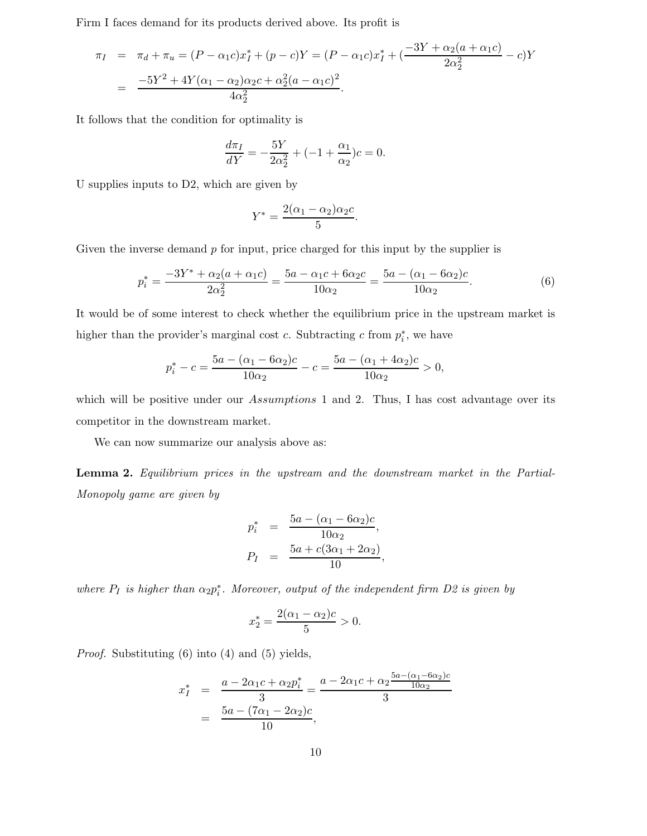Firm I faces demand for its products derived above. Its profit is

$$
\pi_I = \pi_d + \pi_u = (P - \alpha_1 c)x_I^* + (p - c)Y = (P - \alpha_1 c)x_I^* + \left(\frac{-3Y + \alpha_2(a + \alpha_1 c)}{2\alpha_2^2} - c\right)Y
$$
  
= 
$$
\frac{-5Y^2 + 4Y(\alpha_1 - \alpha_2)\alpha_2 c + \alpha_2^2(a - \alpha_1 c)^2}{4\alpha_2^2}.
$$

It follows that the condition for optimality is

$$
\frac{d\pi_I}{dY} = -\frac{5Y}{2\alpha_2^2} + (-1 + \frac{\alpha_1}{\alpha_2})c = 0.
$$

U supplies inputs to D2, which are given by

$$
Y^* = \frac{2(\alpha_1 - \alpha_2)\alpha_2 c}{5}.
$$

Given the inverse demand  $p$  for input, price charged for this input by the supplier is

$$
p_i^* = \frac{-3Y^* + \alpha_2(a + \alpha_1c)}{2\alpha_2^2} = \frac{5a - \alpha_1c + 6\alpha_2c}{10\alpha_2} = \frac{5a - (\alpha_1 - 6\alpha_2)c}{10\alpha_2}.
$$
 (6)

It would be of some interest to check whether the equilibrium price in the upstream market is higher than the provider's marginal cost c. Subtracting c from  $p_i^*$ , we have

$$
p_i^* - c = \frac{5a - (\alpha_1 - 6\alpha_2)c}{10\alpha_2} - c = \frac{5a - (\alpha_1 + 4\alpha_2)c}{10\alpha_2} > 0,
$$

which will be positive under our Assumptions 1 and 2. Thus, I has cost advantage over its competitor in the downstream market.

We can now summarize our analysis above as:

**Lemma 2.** *Equilibrium prices in the upstream and the downstream market in the Partial-Monopoly game are given by*

$$
p_i^* = \frac{5a - (\alpha_1 - 6\alpha_2)c}{10\alpha_2},
$$
  

$$
P_I = \frac{5a + c(3\alpha_1 + 2\alpha_2)}{10},
$$

*where*  $P_I$  *is higher than*  $\alpha_2 p_i^*$ *. Moreover, output of the independent firm D2 is given by* 

$$
x_2^* = \frac{2(\alpha_1 - \alpha_2)c}{5} > 0.
$$

*Proof.* Substituting (6) into (4) and (5) yields,

$$
x_I^* = \frac{a - 2\alpha_1 c + \alpha_2 p_i^*}{3} = \frac{a - 2\alpha_1 c + \alpha_2 \frac{5a - (\alpha_1 - 6\alpha_2)c}{10\alpha_2}}{3}
$$
  
= 
$$
\frac{5a - (7\alpha_1 - 2\alpha_2)c}{10},
$$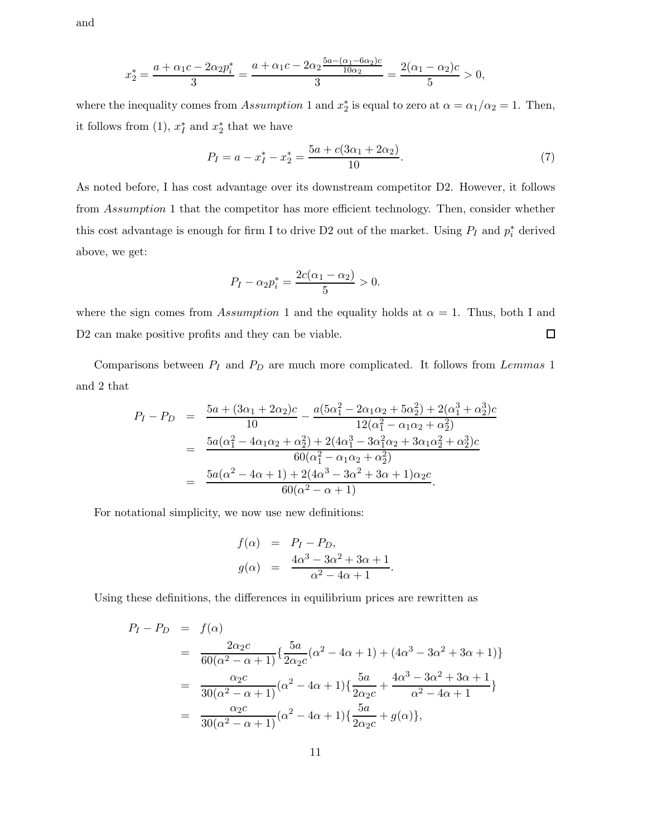and

$$
x_2^* = \frac{a + \alpha_1 c - 2\alpha_2 p_i^*}{3} = \frac{a + \alpha_1 c - 2\alpha_2 \frac{5a - (\alpha_1 - 6\alpha_2)c}{10\alpha_2}}{3} = \frac{2(\alpha_1 - \alpha_2)c}{5} > 0,
$$

where the inequality comes from Assumption 1 and  $x_2^*$  is equal to zero at  $\alpha = \alpha_1/\alpha_2 = 1$ . Then, it follows from (1),  $x_I^*$  and  $x_2^*$  that we have

$$
P_I = a - x_I^* - x_2^* = \frac{5a + c(3\alpha_1 + 2\alpha_2)}{10}.
$$
 (7)

As noted before, I has cost advantage over its downstream competitor D2. However, it follows from Assumption 1 that the competitor has more efficient technology. Then, consider whether this cost advantage is enough for firm I to drive D2 out of the market. Using  $P_I$  and  $p_i^*$  derived above, we get:

$$
P_I - \alpha_2 p_i^* = \frac{2c(\alpha_1 - \alpha_2)}{5} > 0.
$$

where the sign comes from Assumption 1 and the equality holds at  $\alpha = 1$ . Thus, both I and  $\Box$ D2 can make positive profits and they can be viable.

Comparisons between  $P_I$  and  $P_D$  are much more complicated. It follows from Lemmas 1 and 2 that

$$
P_{I} - P_{D} = \frac{5a + (3\alpha_{1} + 2\alpha_{2})c}{10} - \frac{a(5\alpha_{1}^{2} - 2\alpha_{1}\alpha_{2} + 5\alpha_{2}^{2}) + 2(\alpha_{1}^{3} + \alpha_{2}^{3})c}{12(\alpha_{1}^{2} - \alpha_{1}\alpha_{2} + \alpha_{2}^{2})}
$$
  
= 
$$
\frac{5a(\alpha_{1}^{2} - 4\alpha_{1}\alpha_{2} + \alpha_{2}^{2}) + 2(4\alpha_{1}^{3} - 3\alpha_{1}^{2}\alpha_{2} + 3\alpha_{1}\alpha_{2}^{2} + \alpha_{2}^{3})c}{60(\alpha_{1}^{2} - \alpha_{1}\alpha_{2} + \alpha_{2}^{2})}
$$
  
= 
$$
\frac{5a(\alpha^{2} - 4\alpha + 1) + 2(4\alpha^{3} - 3\alpha^{2} + 3\alpha + 1)\alpha_{2}c}{60(\alpha^{2} - \alpha + 1)}.
$$

For notational simplicity, we now use new definitions:

$$
f(\alpha) = P_I - P_D,
$$
  
\n
$$
g(\alpha) = \frac{4\alpha^3 - 3\alpha^2 + 3\alpha + 1}{\alpha^2 - 4\alpha + 1}.
$$

Using these definitions, the differences in equilibrium prices are rewritten as

$$
P_I - P_D = f(\alpha)
$$
  
=  $\frac{2\alpha_2 c}{60(\alpha^2 - \alpha + 1)} \left\{ \frac{5a}{2\alpha_2 c} (\alpha^2 - 4\alpha + 1) + (4\alpha^3 - 3\alpha^2 + 3\alpha + 1) \right\}$   
=  $\frac{\alpha_2 c}{30(\alpha^2 - \alpha + 1)} (\alpha^2 - 4\alpha + 1) \left\{ \frac{5a}{2\alpha_2 c} + \frac{4\alpha^3 - 3\alpha^2 + 3\alpha + 1}{\alpha^2 - 4\alpha + 1} \right\}$   
=  $\frac{\alpha_2 c}{30(\alpha^2 - \alpha + 1)} (\alpha^2 - 4\alpha + 1) \left\{ \frac{5a}{2\alpha_2 c} + g(\alpha) \right\},$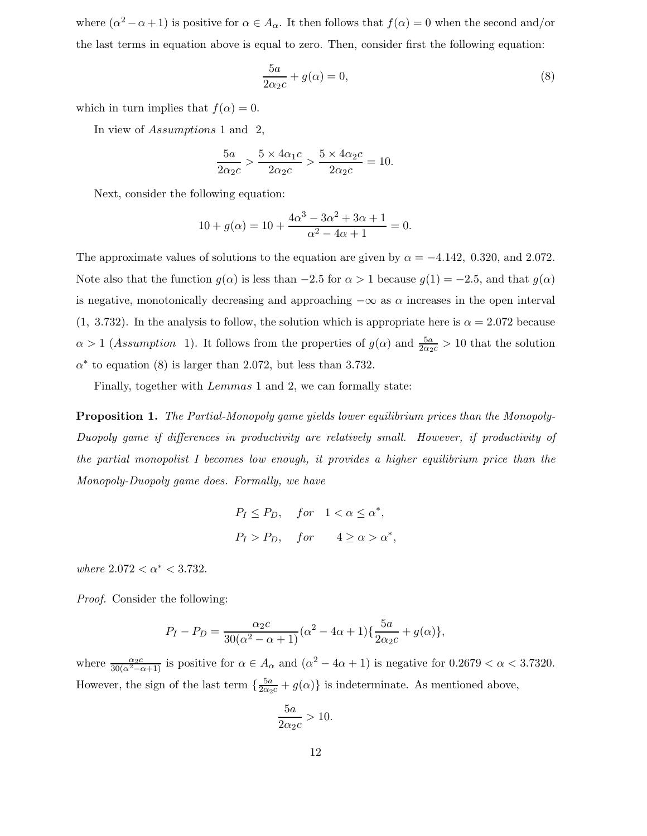where  $(\alpha^2 - \alpha + 1)$  is positive for  $\alpha \in A_\alpha$ . It then follows that  $f(\alpha) = 0$  when the second and/or the last terms in equation above is equal to zero. Then, consider first the following equation:

$$
\frac{5a}{2\alpha_2 c} + g(\alpha) = 0,\t\t(8)
$$

which in turn implies that  $f(\alpha)=0$ .

In view of Assumptions 1 and 2,

$$
\frac{5a}{2\alpha_2 c} > \frac{5 \times 4\alpha_1 c}{2\alpha_2 c} > \frac{5 \times 4\alpha_2 c}{2\alpha_2 c} = 10.
$$

Next, consider the following equation:

$$
10 + g(\alpha) = 10 + \frac{4\alpha^3 - 3\alpha^2 + 3\alpha + 1}{\alpha^2 - 4\alpha + 1} = 0.
$$

The approximate values of solutions to the equation are given by  $\alpha = -4.142, 0.320,$  and 2.072. Note also that the function  $g(\alpha)$  is less than  $-2.5$  for  $\alpha > 1$  because  $g(1) = -2.5$ , and that  $g(\alpha)$ is negative, monotonically decreasing and approaching  $-\infty$  as  $\alpha$  increases in the open interval  $(1, 3.732)$ . In the analysis to follow, the solution which is appropriate here is  $\alpha = 2.072$  because  $\alpha > 1$  (Assumption 1). It follows from the properties of  $g(\alpha)$  and  $\frac{5a}{2\alpha_{2}c} > 10$  that the solution  $\alpha^*$  to equation (8) is larger than 2.072, but less than 3.732.

Finally, together with *Lemmas* 1 and 2, we can formally state:

**Proposition 1.** *The Partial-Monopoly game yields lower equilibrium prices than the Monopoly-Duopoly game if differences in productivity are relatively small. However, if productivity of the partial monopolist I becomes low enough, it provides a higher equilibrium price than the Monopoly-Duopoly game does. Formally, we have*

$$
P_I \le P_D, \quad for \quad 1 < \alpha \le \alpha^*,
$$
\n
$$
P_I > P_D, \quad for \quad 4 \ge \alpha > \alpha^*,
$$

*where*  $2.072 < \alpha^* < 3.732$ .

*Proof.* Consider the following:

$$
P_I - P_D = \frac{\alpha_2 c}{30(\alpha^2 - \alpha + 1)} (\alpha^2 - 4\alpha + 1) \{ \frac{5a}{2\alpha_2 c} + g(\alpha) \},
$$

where  $\frac{\alpha_2 c}{30(\alpha^2-\alpha+1)}$  is positive for  $\alpha \in A_\alpha$  and  $(\alpha^2-4\alpha+1)$  is negative for  $0.2679 < \alpha < 3.7320$ . However, the sign of the last term  $\{\frac{5a}{2\alpha_2c}+g(\alpha)\}\$ is indeterminate. As mentioned above,

$$
\frac{5a}{2\alpha_2 c} > 10.
$$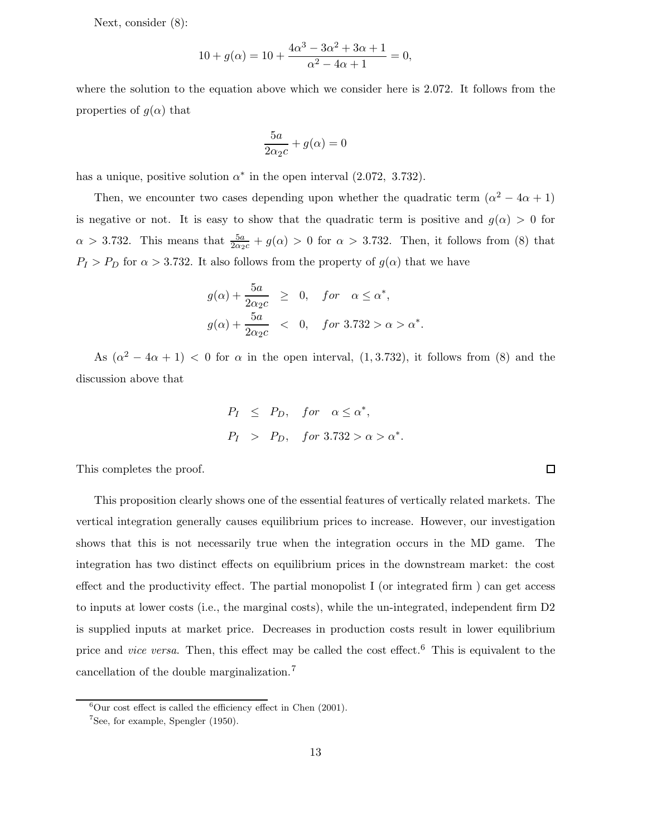Next, consider (8):

$$
10 + g(\alpha) = 10 + \frac{4\alpha^3 - 3\alpha^2 + 3\alpha + 1}{\alpha^2 - 4\alpha + 1} = 0,
$$

where the solution to the equation above which we consider here is 2.072. It follows from the properties of  $g(\alpha)$  that

$$
\frac{5a}{2\alpha_2 c} + g(\alpha) = 0
$$

has a unique, positive solution  $\alpha^*$  in the open interval (2.072, 3.732).

Then, we encounter two cases depending upon whether the quadratic term  $(\alpha^2 - 4\alpha + 1)$ is negative or not. It is easy to show that the quadratic term is positive and  $g(\alpha) > 0$  for  $\alpha > 3.732$ . This means that  $\frac{5a}{2\alpha_2 c} + g(\alpha) > 0$  for  $\alpha > 3.732$ . Then, it follows from (8) that  $P_I > P_D$  for  $\alpha > 3.732$ . It also follows from the property of  $g(\alpha)$  that we have

$$
g(\alpha) + \frac{5a}{2\alpha_2 c} \geq 0, \quad for \quad \alpha \leq \alpha^*,
$$
  

$$
g(\alpha) + \frac{5a}{2\alpha_2 c} < 0, \quad for \quad 3.732 > \alpha > \alpha^*.
$$

As  $(\alpha^2 - 4\alpha + 1)$  < 0 for  $\alpha$  in the open interval, (1, 3.732), it follows from (8) and the discussion above that

$$
P_I \leq P_D, \quad \text{for} \quad \alpha \leq \alpha^*,
$$
\n
$$
P_I > P_D, \quad \text{for} \quad 3.732 > \alpha > \alpha^*.
$$

 $\Box$ 

This completes the proof.

This proposition clearly shows one of the essential features of vertically related markets. The vertical integration generally causes equilibrium prices to increase. However, our investigation shows that this is not necessarily true when the integration occurs in the MD game. The integration has two distinct effects on equilibrium prices in the downstream market: the cost effect and the productivity effect. The partial monopolist I (or integrated firm ) can get access to inputs at lower costs (i.e., the marginal costs), while the un-integrated, independent firm D2 is supplied inputs at market price. Decreases in production costs result in lower equilibrium price and *vice versa*. Then, this effect may be called the cost effect.<sup>6</sup> This is equivalent to the cancellation of the double marginalization.<sup>7</sup>

 ${}^{6}$ Our cost effect is called the efficiency effect in Chen (2001).

<sup>7</sup>See, for example, Spengler (1950).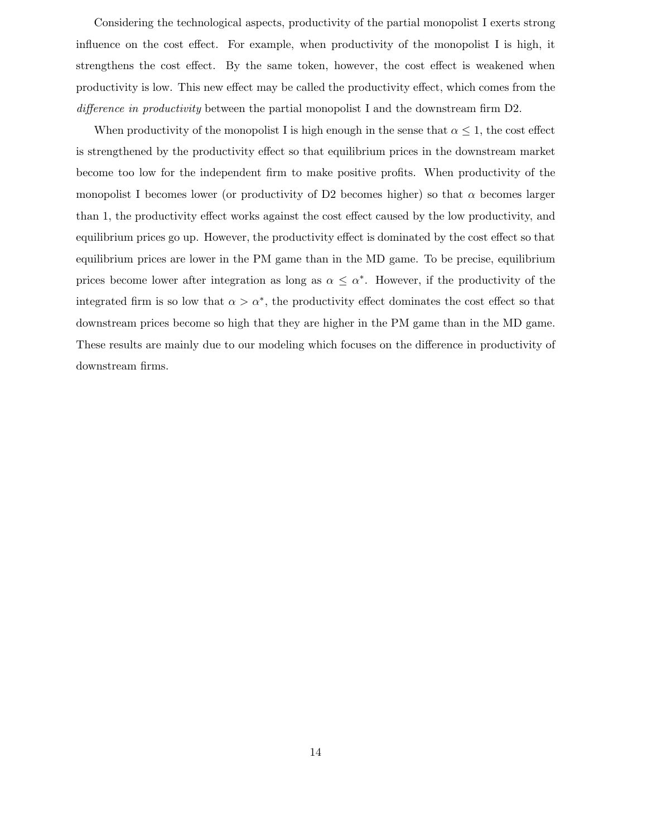Considering the technological aspects, productivity of the partial monopolist I exerts strong influence on the cost effect. For example, when productivity of the monopolist I is high, it strengthens the cost effect. By the same token, however, the cost effect is weakened when productivity is low. This new effect may be called the productivity effect, which comes from the *difference in productivity* between the partial monopolist I and the downstream firm D2.

When productivity of the monopolist I is high enough in the sense that  $\alpha \leq 1$ , the cost effect is strengthened by the productivity effect so that equilibrium prices in the downstream market become too low for the independent firm to make positive profits. When productivity of the monopolist I becomes lower (or productivity of D2 becomes higher) so that  $\alpha$  becomes larger than 1, the productivity effect works against the cost effect caused by the low productivity, and equilibrium prices go up. However, the productivity effect is dominated by the cost effect so that equilibrium prices are lower in the PM game than in the MD game. To be precise, equilibrium prices become lower after integration as long as  $\alpha \leq \alpha^*$ . However, if the productivity of the integrated firm is so low that  $\alpha > \alpha^*$ , the productivity effect dominates the cost effect so that downstream prices become so high that they are higher in the PM game than in the MD game. These results are mainly due to our modeling which focuses on the difference in productivity of downstream firms.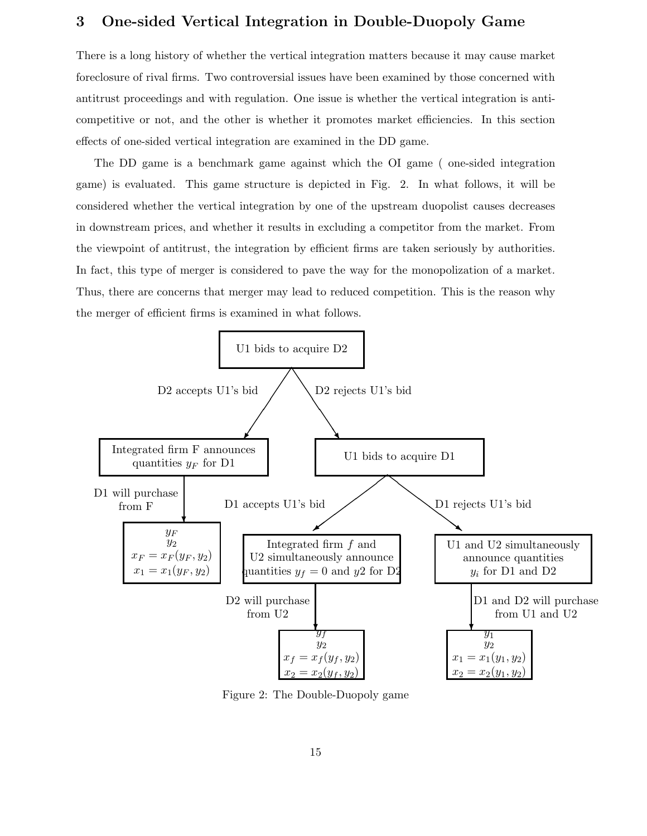# **3 One-sided Vertical Integration in Double-Duopoly Game**

There is a long history of whether the vertical integration matters because it may cause market foreclosure of rival firms. Two controversial issues have been examined by those concerned with antitrust proceedings and with regulation. One issue is whether the vertical integration is anticompetitive or not, and the other is whether it promotes market efficiencies. In this section effects of one-sided vertical integration are examined in the DD game.

The DD game is a benchmark game against which the OI game ( one-sided integration game) is evaluated. This game structure is depicted in Fig. 2. In what follows, it will be considered whether the vertical integration by one of the upstream duopolist causes decreases in downstream prices, and whether it results in excluding a competitor from the market. From the viewpoint of antitrust, the integration by efficient firms are taken seriously by authorities. In fact, this type of merger is considered to pave the way for the monopolization of a market. Thus, there are concerns that merger may lead to reduced competition. This is the reason why the merger of efficient firms is examined in what follows.



Figure 2: The Double-Duopoly game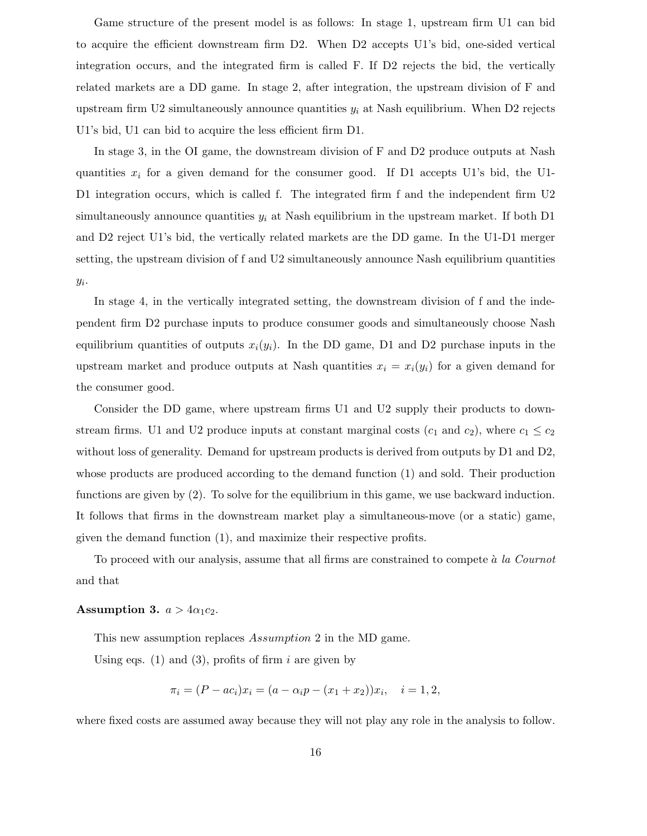Game structure of the present model is as follows: In stage 1, upstream firm U1 can bid to acquire the efficient downstream firm D2. When D2 accepts U1's bid, one-sided vertical integration occurs, and the integrated firm is called F. If D2 rejects the bid, the vertically related markets are a DD game. In stage 2, after integration, the upstream division of F and upstream firm U2 simultaneously announce quantities  $y_i$  at Nash equilibrium. When D2 rejects U1's bid, U1 can bid to acquire the less efficient firm D1.

In stage 3, in the OI game, the downstream division of F and D2 produce outputs at Nash quantities  $x_i$  for a given demand for the consumer good. If D1 accepts U1's bid, the U1-D1 integration occurs, which is called f. The integrated firm f and the independent firm U2 simultaneously announce quantities  $y_i$  at Nash equilibrium in the upstream market. If both D1 and D2 reject U1's bid, the vertically related markets are the DD game. In the U1-D1 merger setting, the upstream division of f and U2 simultaneously announce Nash equilibrium quantities  $y_i$ .

In stage 4, in the vertically integrated setting, the downstream division of f and the independent firm D2 purchase inputs to produce consumer goods and simultaneously choose Nash equilibrium quantities of outputs  $x_i(y_i)$ . In the DD game, D1 and D2 purchase inputs in the upstream market and produce outputs at Nash quantities  $x_i = x_i(y_i)$  for a given demand for the consumer good.

Consider the DD game, where upstream firms U1 and U2 supply their products to downstream firms. U1 and U2 produce inputs at constant marginal costs  $(c_1 \text{ and } c_2)$ , where  $c_1 \leq c_2$ without loss of generality. Demand for upstream products is derived from outputs by D1 and D2, whose products are produced according to the demand function (1) and sold. Their production functions are given by (2). To solve for the equilibrium in this game, we use backward induction. It follows that firms in the downstream market play a simultaneous-move (or a static) game, given the demand function (1), and maximize their respective profits.

To proceed with our analysis, assume that all firms are constrained to compete `a *la Cournot* and that

### **Assumption 3.**  $a > 4\alpha_1 c_2$ .

This new assumption replaces Assumption 2 in the MD game.

Using eqs. (1) and (3), profits of firm i are given by

$$
\pi_i = (P - ac_i)x_i = (a - \alpha_i p - (x_1 + x_2))x_i, \quad i = 1, 2,
$$

where fixed costs are assumed away because they will not play any role in the analysis to follow.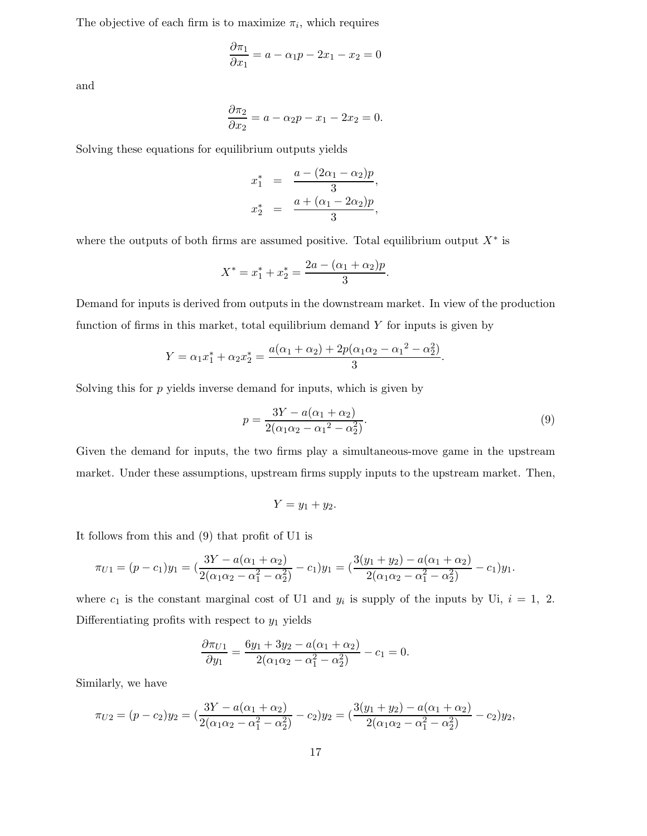The objective of each firm is to maximize  $\pi_i$ , which requires

$$
\frac{\partial \pi_1}{\partial x_1} = a - \alpha_1 p - 2x_1 - x_2 = 0
$$

and

$$
\frac{\partial \pi_2}{\partial x_2} = a - \alpha_2 p - x_1 - 2x_2 = 0.
$$

Solving these equations for equilibrium outputs yields

$$
x_1^* = \frac{a - (2\alpha_1 - \alpha_2)p}{3},
$$
  

$$
x_2^* = \frac{a + (\alpha_1 - 2\alpha_2)p}{3},
$$

where the outputs of both firms are assumed positive. Total equilibrium output  $X^*$  is

$$
X^* = x_1^* + x_2^* = \frac{2a - (\alpha_1 + \alpha_2)p}{3}.
$$

Demand for inputs is derived from outputs in the downstream market. In view of the production function of firms in this market, total equilibrium demand  $Y$  for inputs is given by

$$
Y = \alpha_1 x_1^* + \alpha_2 x_2^* = \frac{a(\alpha_1 + \alpha_2) + 2p(\alpha_1 \alpha_2 - \alpha_1^2 - \alpha_2^2)}{3}.
$$

Solving this for  $p$  yields inverse demand for inputs, which is given by

$$
p = \frac{3Y - a(\alpha_1 + \alpha_2)}{2(\alpha_1 \alpha_2 - \alpha_1^2 - \alpha_2^2)}.
$$
\n(9)

Given the demand for inputs, the two firms play a simultaneous-move game in the upstream market. Under these assumptions, upstream firms supply inputs to the upstream market. Then,

$$
Y=y_1+y_2.
$$

It follows from this and (9) that profit of U1 is

$$
\pi_{U1} = (p - c_1)y_1 = \left(\frac{3Y - a(\alpha_1 + \alpha_2)}{2(\alpha_1\alpha_2 - \alpha_1^2 - \alpha_2^2)} - c_1\right)y_1 = \left(\frac{3(y_1 + y_2) - a(\alpha_1 + \alpha_2)}{2(\alpha_1\alpha_2 - \alpha_1^2 - \alpha_2^2)} - c_1\right)y_1.
$$

where  $c_1$  is the constant marginal cost of U1 and  $y_i$  is supply of the inputs by Ui,  $i = 1, 2$ . Differentiating profits with respect to  $y_1$  yields

$$
\frac{\partial \pi_{U1}}{\partial y_1} = \frac{6y_1 + 3y_2 - a(\alpha_1 + \alpha_2)}{2(\alpha_1\alpha_2 - \alpha_1^2 - \alpha_2^2)} - c_1 = 0.
$$

Similarly, we have

$$
\pi_{U2} = (p - c_2)y_2 = \left(\frac{3Y - a(\alpha_1 + \alpha_2)}{2(\alpha_1\alpha_2 - \alpha_1^2 - \alpha_2^2)} - c_2\right)y_2 = \left(\frac{3(y_1 + y_2) - a(\alpha_1 + \alpha_2)}{2(\alpha_1\alpha_2 - \alpha_1^2 - \alpha_2^2)} - c_2\right)y_2,
$$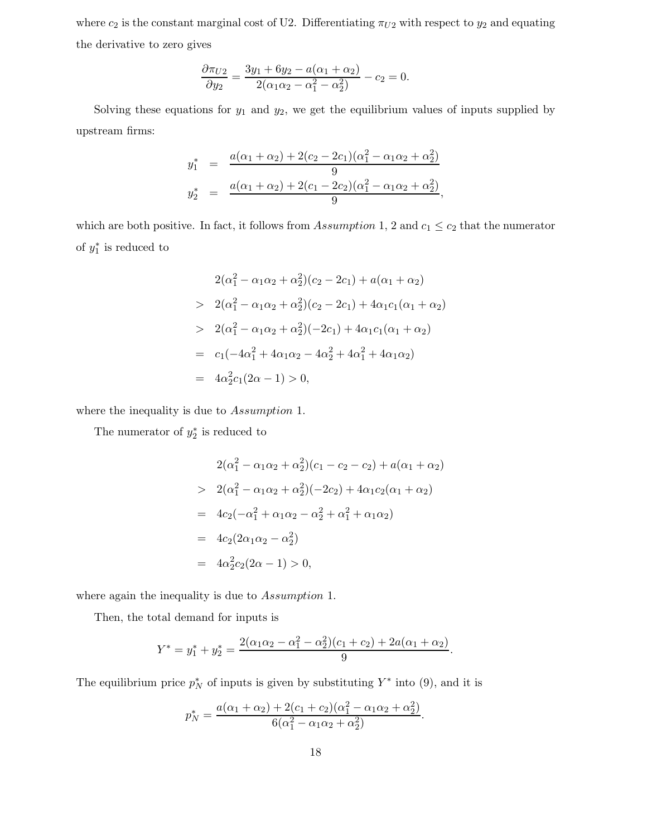where  $c_2$  is the constant marginal cost of U2. Differentiating  $\pi_{U2}$  with respect to  $y_2$  and equating the derivative to zero gives

$$
\frac{\partial \pi_{U2}}{\partial y_2} = \frac{3y_1 + 6y_2 - a(\alpha_1 + \alpha_2)}{2(\alpha_1\alpha_2 - \alpha_1^2 - \alpha_2^2)} - c_2 = 0.
$$

Solving these equations for  $y_1$  and  $y_2$ , we get the equilibrium values of inputs supplied by upstream firms:

$$
y_1^* = \frac{a(\alpha_1 + \alpha_2) + 2(c_2 - 2c_1)(\alpha_1^2 - \alpha_1\alpha_2 + \alpha_2^2)}{9}
$$
  

$$
y_2^* = \frac{a(\alpha_1 + \alpha_2) + 2(c_1 - 2c_2)(\alpha_1^2 - \alpha_1\alpha_2 + \alpha_2^2)}{9},
$$

which are both positive. In fact, it follows from Assumption 1, 2 and  $c_1 \leq c_2$  that the numerator of  $y_1^*$  is reduced to

$$
2(\alpha_1^2 - \alpha_1 \alpha_2 + \alpha_2^2)(c_2 - 2c_1) + a(\alpha_1 + \alpha_2)
$$
  
> 
$$
2(\alpha_1^2 - \alpha_1 \alpha_2 + \alpha_2^2)(c_2 - 2c_1) + 4\alpha_1 c_1(\alpha_1 + \alpha_2)
$$
  
> 
$$
2(\alpha_1^2 - \alpha_1 \alpha_2 + \alpha_2^2)(-2c_1) + 4\alpha_1 c_1(\alpha_1 + \alpha_2)
$$
  
= 
$$
c_1(-4\alpha_1^2 + 4\alpha_1 \alpha_2 - 4\alpha_2^2 + 4\alpha_1^2 + 4\alpha_1 \alpha_2)
$$
  
= 
$$
4\alpha_2^2 c_1(2\alpha - 1) > 0,
$$

where the inequality is due to Assumption 1.

The numerator of  $y_2^*$  is reduced to

$$
2(\alpha_1^2 - \alpha_1 \alpha_2 + \alpha_2^2)(c_1 - c_2 - c_2) + a(\alpha_1 + \alpha_2)
$$
  
> 
$$
2(\alpha_1^2 - \alpha_1 \alpha_2 + \alpha_2^2)(-2c_2) + 4\alpha_1 c_2(\alpha_1 + \alpha_2)
$$
  
= 
$$
4c_2(-\alpha_1^2 + \alpha_1 \alpha_2 - \alpha_2^2 + \alpha_1^2 + \alpha_1 \alpha_2)
$$
  
= 
$$
4c_2(2\alpha_1 \alpha_2 - \alpha_2^2)
$$
  
= 
$$
4\alpha_2^2 c_2(2\alpha - 1) > 0,
$$

where again the inequality is due to Assumption 1.

Then, the total demand for inputs is

$$
Y^* = y_1^* + y_2^* = \frac{2(\alpha_1\alpha_2 - \alpha_1^2 - \alpha_2^2)(c_1 + c_2) + 2a(\alpha_1 + \alpha_2)}{9}.
$$

The equilibrium price  $p_N^*$  of inputs is given by substituting  $Y^*$  into (9), and it is

$$
p_N^* = \frac{a(\alpha_1 + \alpha_2) + 2(c_1 + c_2)(\alpha_1^2 - \alpha_1\alpha_2 + \alpha_2^2)}{6(\alpha_1^2 - \alpha_1\alpha_2 + \alpha_2^2)}.
$$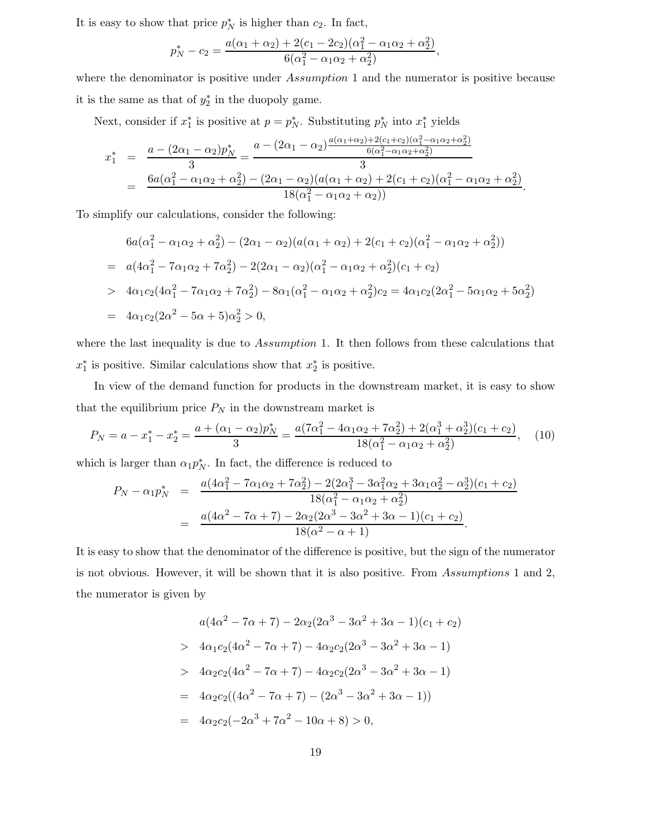It is easy to show that price  $p_N^*$  is higher than  $c_2$ . In fact,

$$
p_N^* - c_2 = \frac{a(\alpha_1 + \alpha_2) + 2(c_1 - 2c_2)(\alpha_1^2 - \alpha_1\alpha_2 + \alpha_2^2)}{6(\alpha_1^2 - \alpha_1\alpha_2 + \alpha_2^2)},
$$

where the denominator is positive under Assumption 1 and the numerator is positive because it is the same as that of  $y_2^*$  in the duopoly game.

Next, consider if  $x_1^*$  is positive at  $p = p_N^*$ . Substituting  $p_N^*$  into  $x_1^*$  yields

$$
x_1^* = \frac{a - (2\alpha_1 - \alpha_2)p_N^*}{3} = \frac{a - (2\alpha_1 - \alpha_2)\frac{a(\alpha_1 + \alpha_2) + 2(c_1 + c_2)(\alpha_1^2 - \alpha_1\alpha_2 + \alpha_2^2)}{6(\alpha_1^2 - \alpha_1\alpha_2 + \alpha_2^2)}}{3}
$$
  
= 
$$
\frac{6a(\alpha_1^2 - \alpha_1\alpha_2 + \alpha_2^2) - (2\alpha_1 - \alpha_2)(a(\alpha_1 + \alpha_2) + 2(c_1 + c_2)(\alpha_1^2 - \alpha_1\alpha_2 + \alpha_2^2)}{18(\alpha_1^2 - \alpha_1\alpha_2 + \alpha_2))}.
$$

To simplify our calculations, consider the following:

$$
6a(\alpha_1^2 - \alpha_1\alpha_2 + \alpha_2^2) - (2\alpha_1 - \alpha_2)(a(\alpha_1 + \alpha_2) + 2(c_1 + c_2)(\alpha_1^2 - \alpha_1\alpha_2 + \alpha_2^2))
$$
  
=  $a(4\alpha_1^2 - 7\alpha_1\alpha_2 + 7\alpha_2^2) - 2(2\alpha_1 - \alpha_2)(\alpha_1^2 - \alpha_1\alpha_2 + \alpha_2^2)(c_1 + c_2)$   
>  $4\alpha_1c_2(4\alpha_1^2 - 7\alpha_1\alpha_2 + 7\alpha_2^2) - 8\alpha_1(\alpha_1^2 - \alpha_1\alpha_2 + \alpha_2^2)c_2 = 4\alpha_1c_2(2\alpha_1^2 - 5\alpha_1\alpha_2 + 5\alpha_2^2)$   
=  $4\alpha_1c_2(2\alpha^2 - 5\alpha + 5)\alpha_2^2 > 0$ ,

where the last inequality is due to Assumption 1. It then follows from these calculations that  $x_1^*$  is positive. Similar calculations show that  $x_2^*$  is positive.

In view of the demand function for products in the downstream market, it is easy to show that the equilibrium price  $P_N$  in the downstream market is

$$
P_N = a - x_1^* - x_2^* = \frac{a + (\alpha_1 - \alpha_2)p_N^*}{3} = \frac{a(7\alpha_1^2 - 4\alpha_1\alpha_2 + 7\alpha_2^2) + 2(\alpha_1^3 + \alpha_2^3)(c_1 + c_2)}{18(\alpha_1^2 - \alpha_1\alpha_2 + \alpha_2^2)},
$$
(10)

which is larger than  $\alpha_1 p_N^*$ . In fact, the difference is reduced to

$$
P_N - \alpha_1 p_N^* = \frac{a(4\alpha_1^2 - 7\alpha_1\alpha_2 + 7\alpha_2^2) - 2(2\alpha_1^3 - 3\alpha_1^2\alpha_2 + 3\alpha_1\alpha_2^2 - \alpha_2^3)(c_1 + c_2)}{18(\alpha_1^2 - \alpha_1\alpha_2 + \alpha_2^2)}
$$
  
= 
$$
\frac{a(4\alpha^2 - 7\alpha + 7) - 2\alpha_2(2\alpha^3 - 3\alpha^2 + 3\alpha - 1)(c_1 + c_2)}{18(\alpha^2 - \alpha + 1)}.
$$

It is easy to show that the denominator of the difference is positive, but the sign of the numerator is not obvious. However, it will be shown that it is also positive. From Assumptions 1 and 2, the numerator is given by

$$
a(4\alpha^2 - 7\alpha + 7) - 2\alpha_2(2\alpha^3 - 3\alpha^2 + 3\alpha - 1)(c_1 + c_2)
$$
  
> 
$$
4\alpha_1c_2(4\alpha^2 - 7\alpha + 7) - 4\alpha_2c_2(2\alpha^3 - 3\alpha^2 + 3\alpha - 1)
$$
  
> 
$$
4\alpha_2c_2(4\alpha^2 - 7\alpha + 7) - 4\alpha_2c_2(2\alpha^3 - 3\alpha^2 + 3\alpha - 1)
$$
  
= 
$$
4\alpha_2c_2((4\alpha^2 - 7\alpha + 7) - (2\alpha^3 - 3\alpha^2 + 3\alpha - 1))
$$
  
= 
$$
4\alpha_2c_2(-2\alpha^3 + 7\alpha^2 - 10\alpha + 8) > 0,
$$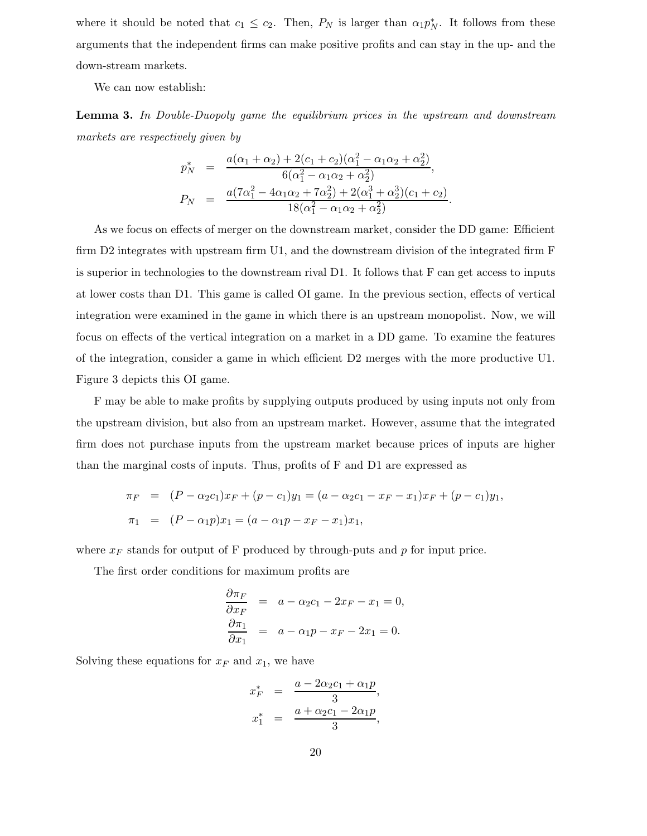where it should be noted that  $c_1 \leq c_2$ . Then,  $P_N$  is larger than  $\alpha_1 p_N^*$ . It follows from these arguments that the independent firms can make positive profits and can stay in the up- and the down-stream markets.

We can now establish:

**Lemma 3.** *In Double-Duopoly game the equilibrium prices in the upstream and downstream markets are respectively given by*

$$
p_N^* = \frac{a(\alpha_1 + \alpha_2) + 2(c_1 + c_2)(\alpha_1^2 - \alpha_1\alpha_2 + \alpha_2^2)}{6(\alpha_1^2 - \alpha_1\alpha_2 + \alpha_2^2)},
$$
  
\n
$$
P_N = \frac{a(7\alpha_1^2 - 4\alpha_1\alpha_2 + 7\alpha_2^2) + 2(\alpha_1^3 + \alpha_2^3)(c_1 + c_2)}{18(\alpha_1^2 - \alpha_1\alpha_2 + \alpha_2^2)}.
$$

As we focus on effects of merger on the downstream market, consider the DD game: Efficient firm D2 integrates with upstream firm U1, and the downstream division of the integrated firm F is superior in technologies to the downstream rival D1. It follows that F can get access to inputs at lower costs than D1. This game is called OI game. In the previous section, effects of vertical integration were examined in the game in which there is an upstream monopolist. Now, we will focus on effects of the vertical integration on a market in a DD game. To examine the features of the integration, consider a game in which efficient D2 merges with the more productive U1. Figure 3 depicts this OI game.

F may be able to make profits by supplying outputs produced by using inputs not only from the upstream division, but also from an upstream market. However, assume that the integrated firm does not purchase inputs from the upstream market because prices of inputs are higher than the marginal costs of inputs. Thus, profits of F and D1 are expressed as

$$
\pi_F = (P - \alpha_2 c_1)x_F + (p - c_1)y_1 = (a - \alpha_2 c_1 - x_F - x_1)x_F + (p - c_1)y_1,
$$
  

$$
\pi_1 = (P - \alpha_1 p)x_1 = (a - \alpha_1 p - x_F - x_1)x_1,
$$

where  $x_F$  stands for output of F produced by through-puts and p for input price.

The first order conditions for maximum profits are

$$
\frac{\partial \pi_F}{\partial x_F} = a - \alpha_2 c_1 - 2x_F - x_1 = 0,
$$
  

$$
\frac{\partial \pi_1}{\partial x_1} = a - \alpha_1 p - x_F - 2x_1 = 0.
$$

Solving these equations for  $x_F$  and  $x_1$ , we have

$$
x_F^* = \frac{a - 2\alpha_2 c_1 + \alpha_1 p}{3},
$$
  

$$
x_1^* = \frac{a + \alpha_2 c_1 - 2\alpha_1 p}{3},
$$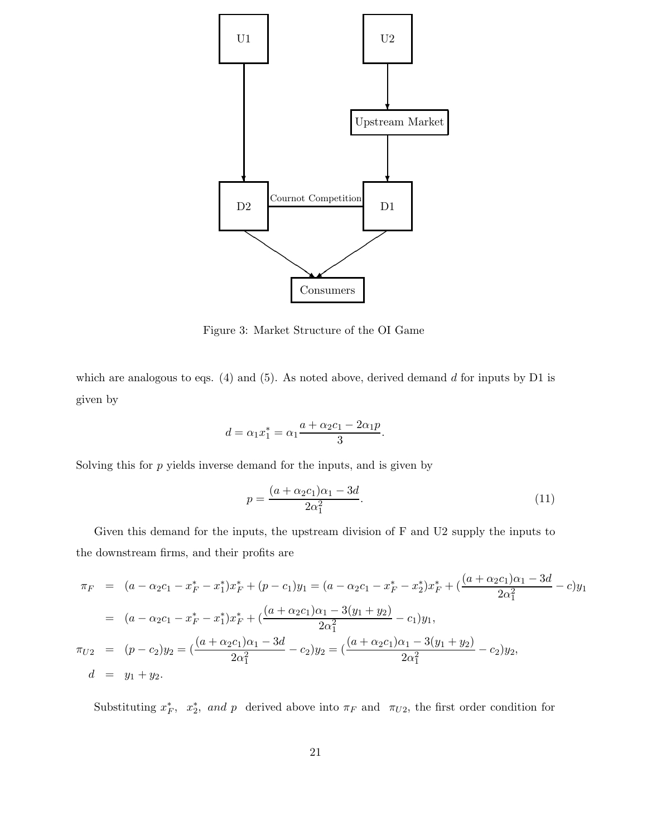

Figure 3: Market Structure of the OI Game

which are analogous to eqs. (4) and (5). As noted above, derived demand  $d$  for inputs by D1 is given by

$$
d = \alpha_1 x_1^* = \alpha_1 \frac{a + \alpha_2 c_1 - 2\alpha_1 p}{3}.
$$

Solving this for  $p$  yields inverse demand for the inputs, and is given by

$$
p = \frac{(a + \alpha_2 c_1)\alpha_1 - 3d}{2\alpha_1^2}.
$$
\n(11)

Given this demand for the inputs, the upstream division of F and U2 supply the inputs to the downstream firms, and their profits are

$$
\pi_F = (a - \alpha_2 c_1 - x_F^* - x_1^*)x_F^* + (p - c_1)y_1 = (a - \alpha_2 c_1 - x_F^* - x_2^*)x_F^* + (\frac{(a + \alpha_2 c_1)\alpha_1 - 3d}{2\alpha_1^2} - c)y_1
$$
  
\n
$$
= (a - \alpha_2 c_1 - x_F^* - x_1^*)x_F^* + (\frac{(a + \alpha_2 c_1)\alpha_1 - 3(y_1 + y_2)}{2\alpha_1^2} - c_1)y_1,
$$
  
\n
$$
\pi_{U2} = (p - c_2)y_2 = (\frac{(a + \alpha_2 c_1)\alpha_1 - 3d}{2\alpha_1^2} - c_2)y_2 = (\frac{(a + \alpha_2 c_1)\alpha_1 - 3(y_1 + y_2)}{2\alpha_1^2} - c_2)y_2,
$$
  
\n
$$
d = y_1 + y_2.
$$

Substituting  $x_F^*$ ,  $x_2^*$ , and p derived above into  $\pi_F$  and  $\pi_{U_2}$ , the first order condition for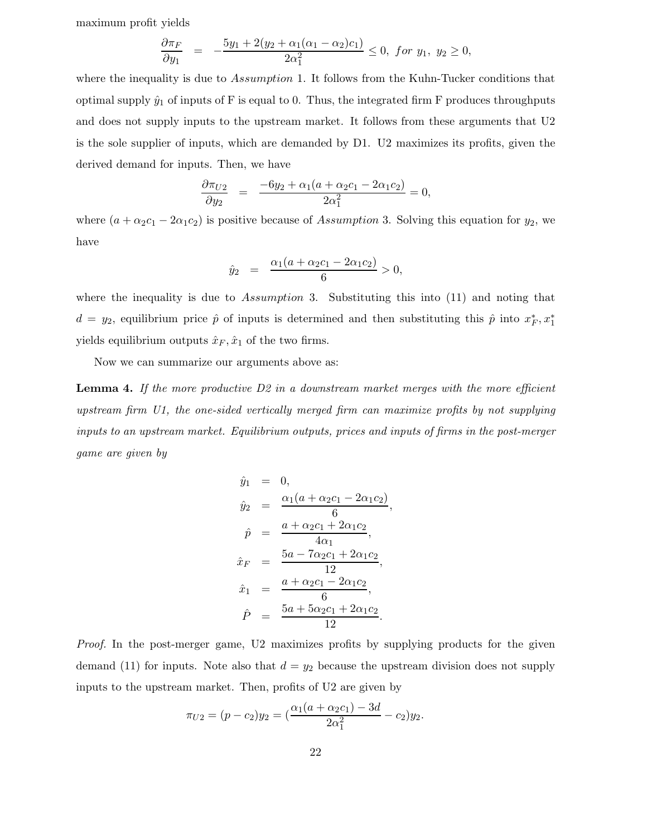maximum profit yields

$$
\frac{\partial \pi_F}{\partial y_1} = -\frac{5y_1 + 2(y_2 + \alpha_1(\alpha_1 - \alpha_2)c_1)}{2\alpha_1^2} \le 0, \text{ for } y_1, y_2 \ge 0,
$$

where the inequality is due to *Assumption* 1. It follows from the Kuhn-Tucker conditions that optimal supply  $\hat{y}_1$  of inputs of F is equal to 0. Thus, the integrated firm F produces throughputs and does not supply inputs to the upstream market. It follows from these arguments that U2 is the sole supplier of inputs, which are demanded by D1. U2 maximizes its profits, given the derived demand for inputs. Then, we have

$$
\frac{\partial \pi_{U2}}{\partial y_2} = \frac{-6y_2 + \alpha_1(a + \alpha_2c_1 - 2\alpha_1c_2)}{2\alpha_1^2} = 0,
$$

where  $(a + \alpha_2 c_1 - 2\alpha_1 c_2)$  is positive because of Assumption 3. Solving this equation for  $y_2$ , we have

$$
\hat{y}_2 = \frac{\alpha_1(a + \alpha_2 c_1 - 2\alpha_1 c_2)}{6} > 0,
$$

where the inequality is due to Assumption 3. Substituting this into  $(11)$  and noting that  $d = y_2$ , equilibrium price  $\hat{p}$  of inputs is determined and then substituting this  $\hat{p}$  into  $x_F^*, x_1^*$ yields equilibrium outputs  $\hat{x}_F, \hat{x}_1$  of the two firms.

Now we can summarize our arguments above as:

**Lemma 4.** *If the more productive D2 in a downstream market merges with the more efficient upstream firm U1, the one-sided vertically merged firm can maximize profits by not supplying inputs to an upstream market. Equilibrium outputs, prices and inputs of firms in the post-merger game are given by*

$$
\hat{y}_1 = 0,
$$
\n
$$
\hat{y}_2 = \frac{\alpha_1(a + \alpha_2c_1 - 2\alpha_1c_2)}{6},
$$
\n
$$
\hat{p} = \frac{a + \alpha_2c_1 + 2\alpha_1c_2}{4\alpha_1},
$$
\n
$$
\hat{x}_F = \frac{5a - 7\alpha_2c_1 + 2\alpha_1c_2}{12},
$$
\n
$$
\hat{x}_1 = \frac{a + \alpha_2c_1 - 2\alpha_1c_2}{6},
$$
\n
$$
\hat{P} = \frac{5a + 5\alpha_2c_1 + 2\alpha_1c_2}{12}.
$$

*Proof.* In the post-merger game, U2 maximizes profits by supplying products for the given demand (11) for inputs. Note also that  $d = y_2$  because the upstream division does not supply inputs to the upstream market. Then, profits of U2 are given by

$$
\pi_{U2} = (p - c_2)y_2 = \left(\frac{\alpha_1(a + \alpha_2 c_1) - 3d}{2\alpha_1^2} - c_2\right)y_2.
$$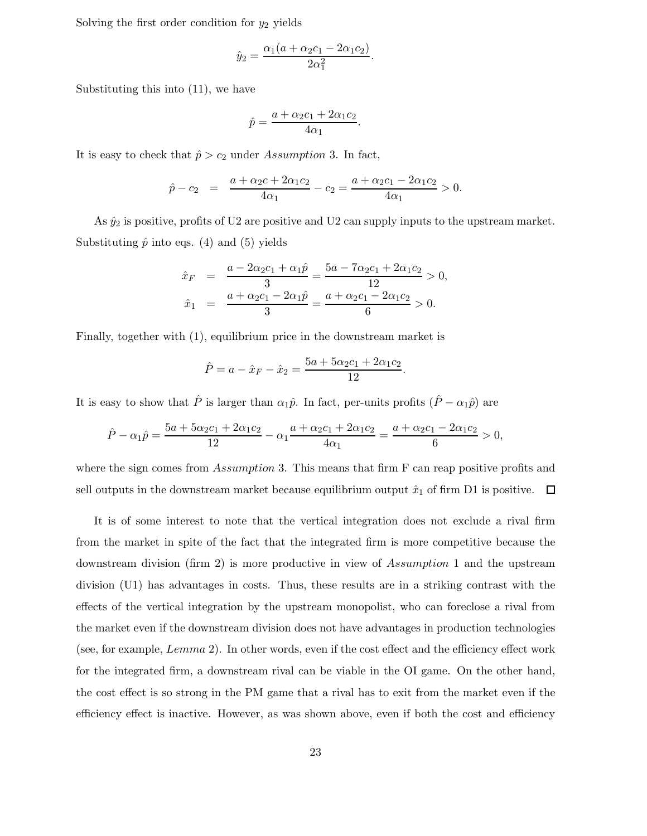Solving the first order condition for  $y_2$  yields

$$
\hat{y}_2 = \frac{\alpha_1(a + \alpha_2c_1 - 2\alpha_1c_2)}{2\alpha_1^2}.
$$

Substituting this into (11), we have

$$
\hat{p} = \frac{a + \alpha_2 c_1 + 2\alpha_1 c_2}{4\alpha_1}.
$$

It is easy to check that  $\hat{p} > c_2$  under Assumption 3. In fact,

$$
\hat{p} - c_2 = \frac{a + \alpha_2 c + 2\alpha_1 c_2}{4\alpha_1} - c_2 = \frac{a + \alpha_2 c_1 - 2\alpha_1 c_2}{4\alpha_1} > 0.
$$

As  $\hat{y}_2$  is positive, profits of U2 are positive and U2 can supply inputs to the upstream market. Substituting  $\hat{p}$  into eqs. (4) and (5) yields

$$
\begin{aligned}\n\hat{x}_F &= \frac{a - 2\alpha_2 c_1 + \alpha_1 \hat{p}}{3} = \frac{5a - 7\alpha_2 c_1 + 2\alpha_1 c_2}{12} > 0, \\
\hat{x}_1 &= \frac{a + \alpha_2 c_1 - 2\alpha_1 \hat{p}}{3} = \frac{a + \alpha_2 c_1 - 2\alpha_1 c_2}{6} > 0.\n\end{aligned}
$$

Finally, together with (1), equilibrium price in the downstream market is

$$
\hat{P} = a - \hat{x}_F - \hat{x}_2 = \frac{5a + 5\alpha_2 c_1 + 2\alpha_1 c_2}{12}.
$$

It is easy to show that  $\hat{P}$  is larger than  $\alpha_1\hat{p}$ . In fact, per-units profits  $(\hat{P} - \alpha_1\hat{p})$  are

$$
\hat{P} - \alpha_1 \hat{p} = \frac{5a + 5\alpha_2 c_1 + 2\alpha_1 c_2}{12} - \alpha_1 \frac{a + \alpha_2 c_1 + 2\alpha_1 c_2}{4\alpha_1} = \frac{a + \alpha_2 c_1 - 2\alpha_1 c_2}{6} > 0,
$$

where the sign comes from Assumption 3. This means that firm F can reap positive profits and sell outputs in the downstream market because equilibrium output  $\hat{x}_1$  of firm D1 is positive.  $\Box$ 

It is of some interest to note that the vertical integration does not exclude a rival firm from the market in spite of the fact that the integrated firm is more competitive because the downstream division (firm 2) is more productive in view of Assumption 1 and the upstream division (U1) has advantages in costs. Thus, these results are in a striking contrast with the effects of the vertical integration by the upstream monopolist, who can foreclose a rival from the market even if the downstream division does not have advantages in production technologies (see, for example, Lemma 2). In other words, even if the cost effect and the efficiency effect work for the integrated firm, a downstream rival can be viable in the OI game. On the other hand, the cost effect is so strong in the PM game that a rival has to exit from the market even if the efficiency effect is inactive. However, as was shown above, even if both the cost and efficiency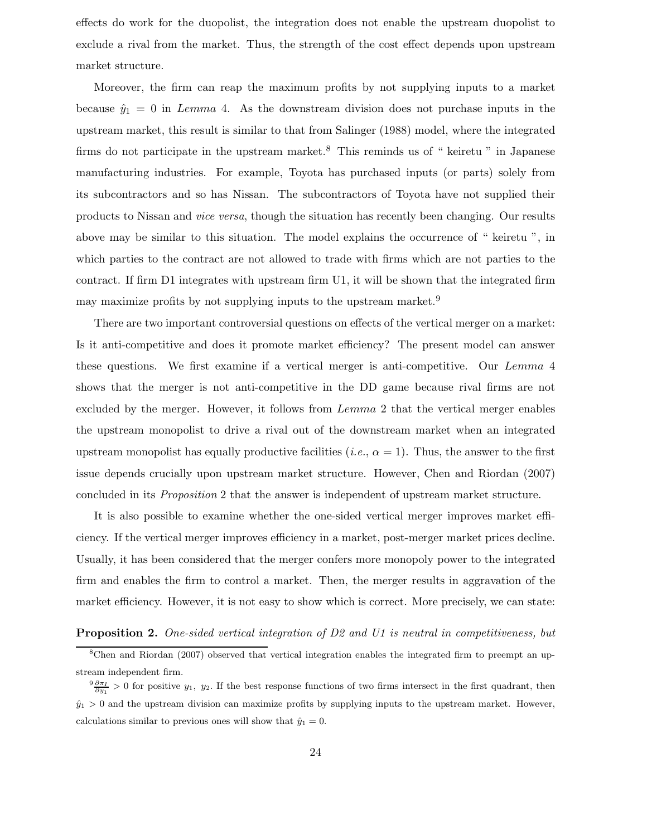effects do work for the duopolist, the integration does not enable the upstream duopolist to exclude a rival from the market. Thus, the strength of the cost effect depends upon upstream market structure.

Moreover, the firm can reap the maximum profits by not supplying inputs to a market because  $\hat{y}_1 = 0$  in Lemma 4. As the downstream division does not purchase inputs in the upstream market, this result is similar to that from Salinger (1988) model, where the integrated firms do not participate in the upstream market.<sup>8</sup> This reminds us of " keiretu " in Japanese manufacturing industries. For example, Toyota has purchased inputs (or parts) solely from its subcontractors and so has Nissan. The subcontractors of Toyota have not supplied their products to Nissan and *vice versa*, though the situation has recently been changing. Our results above may be similar to this situation. The model explains the occurrence of " keiretu ", in which parties to the contract are not allowed to trade with firms which are not parties to the contract. If firm D1 integrates with upstream firm U1, it will be shown that the integrated firm may maximize profits by not supplying inputs to the upstream market.<sup>9</sup>

There are two important controversial questions on effects of the vertical merger on a market: Is it anti-competitive and does it promote market efficiency? The present model can answer these questions. We first examine if a vertical merger is anti-competitive. Our Lemma 4 shows that the merger is not anti-competitive in the DD game because rival firms are not excluded by the merger. However, it follows from Lemma 2 that the vertical merger enables the upstream monopolist to drive a rival out of the downstream market when an integrated upstream monopolist has equally productive facilities  $(i.e., \alpha = 1)$ . Thus, the answer to the first issue depends crucially upon upstream market structure. However, Chen and Riordan (2007) concluded in its *Proposition* 2 that the answer is independent of upstream market structure.

It is also possible to examine whether the one-sided vertical merger improves market efficiency. If the vertical merger improves efficiency in a market, post-merger market prices decline. Usually, it has been considered that the merger confers more monopoly power to the integrated firm and enables the firm to control a market. Then, the merger results in aggravation of the market efficiency. However, it is not easy to show which is correct. More precisely, we can state:

#### **Proposition 2.** *One-sided vertical integration of D2 and U1 is neutral in competitiveness, but*

<sup>&</sup>lt;sup>8</sup>Chen and Riordan (2007) observed that vertical integration enables the integrated firm to preempt an upstream independent firm.

 $\frac{9}{9} \frac{\partial \pi_I}{\partial y_1} > 0$  for positive  $y_1$ ,  $y_2$ . If the best response functions of two firms intersect in the first quadrant, then  $\hat{y}_1 > 0$  and the upstream division can maximize profits by supplying inputs to the upstream market. However, calculations similar to previous ones will show that  $\hat{y}_1 = 0$ .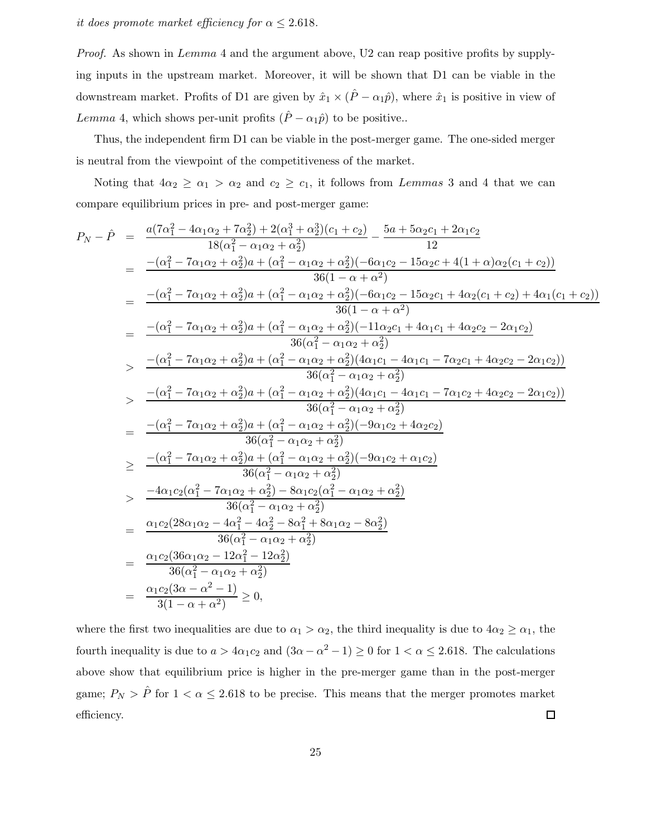*it does promote market efficiency for*  $\alpha \leq 2.618$ *.* 

*Proof.* As shown in Lemma 4 and the argument above, U2 can reap positive profits by supplying inputs in the upstream market. Moreover, it will be shown that D1 can be viable in the downstream market. Profits of D1 are given by  $\hat{x}_1 \times (\hat{P} - \alpha_1 \hat{p})$ , where  $\hat{x}_1$  is positive in view of Lemma 4, which shows per-unit profits  $(\hat{P} - \alpha_1 \hat{p})$  to be positive..

Thus, the independent firm D1 can be viable in the post-merger game. The one-sided merger is neutral from the viewpoint of the competitiveness of the market.

Noting that  $4\alpha_2 \ge \alpha_1 > \alpha_2$  and  $c_2 \ge c_1$ , it follows from *Lemmas* 3 and 4 that we can compare equilibrium prices in pre- and post-merger game:

$$
P_N - \hat{P} = \frac{a(7\alpha_1^2 - 4\alpha_1\alpha_2 + 7\alpha_2^2) + 2(\alpha_1^3 + \alpha_2^3)(c_1 + c_2)}{18(\alpha_1^2 - \alpha_1\alpha_2 + \alpha_2^2)} - \frac{5a + 5\alpha_2c_1 + 2\alpha_1c_2}{12}
$$
  
\n
$$
= \frac{-(\alpha_1^2 - 7\alpha_1\alpha_2 + \alpha_2^2)a + (\alpha_1^2 - \alpha_1\alpha_2 + \alpha_2^2)(-6\alpha_1c_2 - 15\alpha_2c + 4(1 + \alpha)\alpha_2(c_1 + c_2))}{36(1 - \alpha + \alpha^2)}
$$
  
\n
$$
= \frac{-(\alpha_1^2 - 7\alpha_1\alpha_2 + \alpha_2^2)a + (\alpha_1^2 - \alpha_1\alpha_2 + \alpha_2^2)(-6\alpha_1c_2 - 15\alpha_2c_1 + 4\alpha_2(c_1 + c_2) + 4\alpha_1(c_1 + c_2))}{36(1 - \alpha + \alpha^2)}
$$
  
\n
$$
= \frac{-(\alpha_1^2 - 7\alpha_1\alpha_2 + \alpha_2^2)a + (\alpha_1^2 - \alpha_1\alpha_2 + \alpha_2^2)(-11\alpha_2c_1 + 4\alpha_1c_1 + 4\alpha_2c_2 - 2\alpha_1c_2)}{36(\alpha_1^2 - \alpha_1\alpha_2 + \alpha_2^2)}
$$
  
\n
$$
> \frac{-(\alpha_1^2 - 7\alpha_1\alpha_2 + \alpha_2^2)a + (\alpha_1^2 - \alpha_1\alpha_2 + \alpha_2^2)(4\alpha_1c_1 - 4\alpha_1c_1 - 7\alpha_2c_1 + 4\alpha_2c_2 - 2\alpha_1c_2))}{36(\alpha_1^2 - \alpha_1\alpha_2 + \alpha_2^2)}
$$
  
\n
$$
> \frac{-(\alpha_1^2 - 7\alpha_1\alpha_2 + \alpha_2^2)a + (\alpha_1^2 - \alpha_1\alpha_2 + \alpha_2^2)(-9\alpha_1c_2 + 4\alpha_2c_2 - 2\alpha_1c_2))}{36(\alpha_1^2 - \alpha_1\alpha_2 + \alpha_2
$$

where the first two inequalities are due to  $\alpha_1 > \alpha_2$ , the third inequality is due to  $4\alpha_2 \ge \alpha_1$ , the fourth inequality is due to  $a > 4\alpha_1 c_2$  and  $(3\alpha - \alpha^2 - 1) \ge 0$  for  $1 < \alpha \le 2.618$ . The calculations above show that equilibrium price is higher in the pre-merger game than in the post-merger game;  $P_N > \hat{P}$  for  $1 < \alpha \leq 2.618$  to be precise. This means that the merger promotes market efficiency.  $\Box$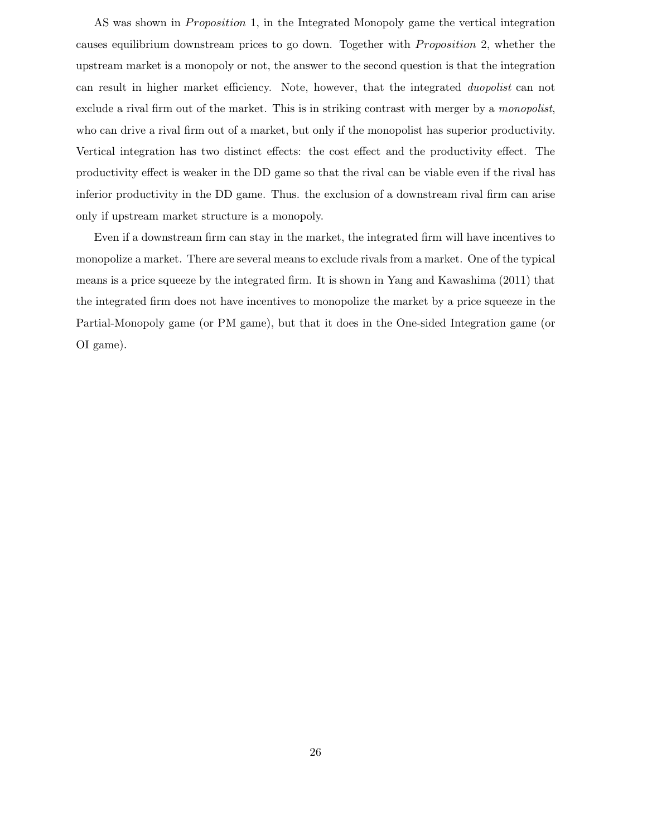AS was shown in *Proposition* 1, in the Integrated Monopoly game the vertical integration causes equilibrium downstream prices to go down. Together with *Proposition* 2, whether the upstream market is a monopoly or not, the answer to the second question is that the integration can result in higher market efficiency. Note, however, that the integrated *duopolist* can not exclude a rival firm out of the market. This is in striking contrast with merger by a *monopolist*, who can drive a rival firm out of a market, but only if the monopolist has superior productivity. Vertical integration has two distinct effects: the cost effect and the productivity effect. The productivity effect is weaker in the DD game so that the rival can be viable even if the rival has inferior productivity in the DD game. Thus. the exclusion of a downstream rival firm can arise only if upstream market structure is a monopoly.

Even if a downstream firm can stay in the market, the integrated firm will have incentives to monopolize a market. There are several means to exclude rivals from a market. One of the typical means is a price squeeze by the integrated firm. It is shown in Yang and Kawashima (2011) that the integrated firm does not have incentives to monopolize the market by a price squeeze in the Partial-Monopoly game (or PM game), but that it does in the One-sided Integration game (or OI game).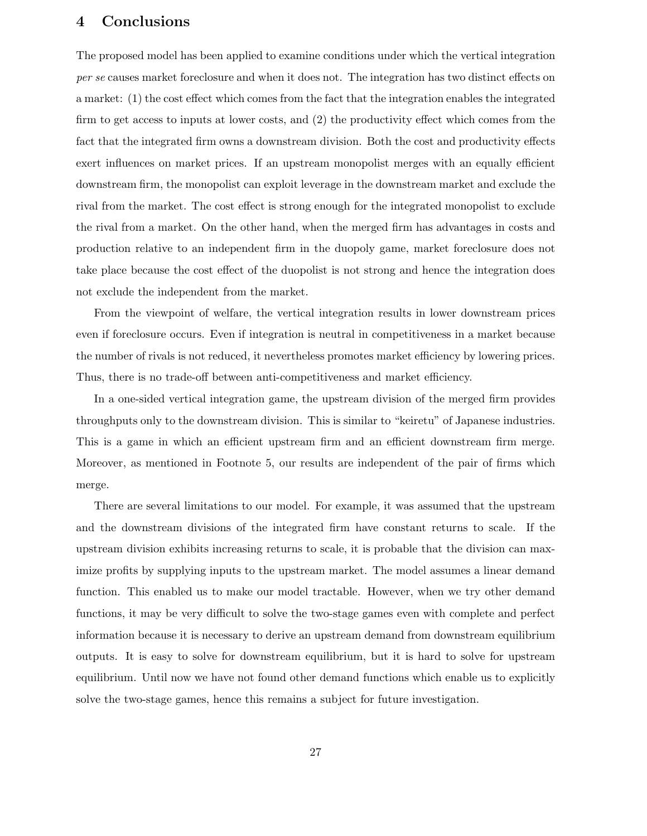## **4 Conclusions**

The proposed model has been applied to examine conditions under which the vertical integration *per se* causes market foreclosure and when it does not. The integration has two distinct effects on a market: (1) the cost effect which comes from the fact that the integration enables the integrated firm to get access to inputs at lower costs, and (2) the productivity effect which comes from the fact that the integrated firm owns a downstream division. Both the cost and productivity effects exert influences on market prices. If an upstream monopolist merges with an equally efficient downstream firm, the monopolist can exploit leverage in the downstream market and exclude the rival from the market. The cost effect is strong enough for the integrated monopolist to exclude the rival from a market. On the other hand, when the merged firm has advantages in costs and production relative to an independent firm in the duopoly game, market foreclosure does not take place because the cost effect of the duopolist is not strong and hence the integration does not exclude the independent from the market.

From the viewpoint of welfare, the vertical integration results in lower downstream prices even if foreclosure occurs. Even if integration is neutral in competitiveness in a market because the number of rivals is not reduced, it nevertheless promotes market efficiency by lowering prices. Thus, there is no trade-off between anti-competitiveness and market efficiency.

In a one-sided vertical integration game, the upstream division of the merged firm provides throughputs only to the downstream division. This is similar to "keiretu" of Japanese industries. This is a game in which an efficient upstream firm and an efficient downstream firm merge. Moreover, as mentioned in Footnote 5, our results are independent of the pair of firms which merge.

There are several limitations to our model. For example, it was assumed that the upstream and the downstream divisions of the integrated firm have constant returns to scale. If the upstream division exhibits increasing returns to scale, it is probable that the division can maximize profits by supplying inputs to the upstream market. The model assumes a linear demand function. This enabled us to make our model tractable. However, when we try other demand functions, it may be very difficult to solve the two-stage games even with complete and perfect information because it is necessary to derive an upstream demand from downstream equilibrium outputs. It is easy to solve for downstream equilibrium, but it is hard to solve for upstream equilibrium. Until now we have not found other demand functions which enable us to explicitly solve the two-stage games, hence this remains a subject for future investigation.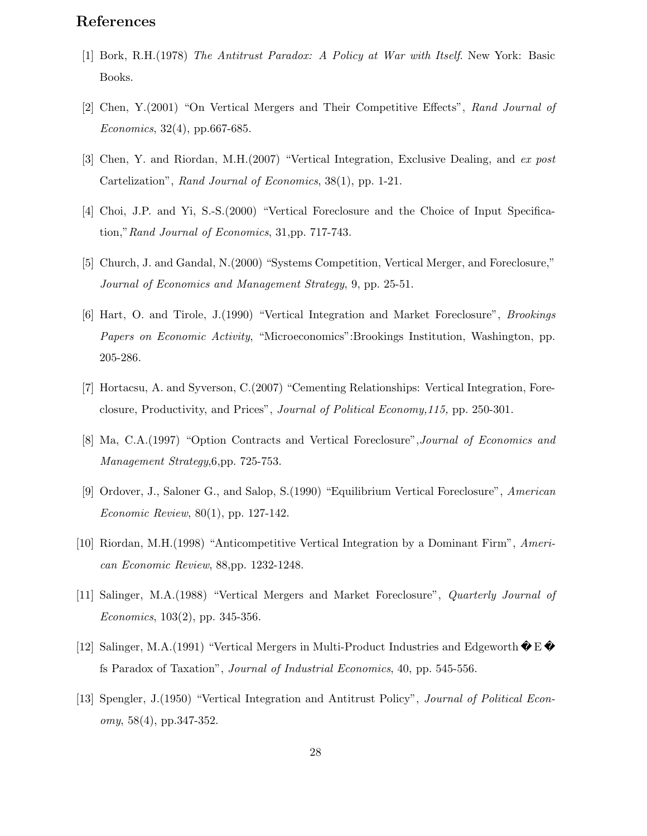# **References**

- [1] Bork, R.H.(1978) *The Antitrust Paradox: A Policy at War with Itself*. New York: Basic Books.
- [2] Chen, Y.(2001) "On Vertical Mergers and Their Competitive Effects", *Rand Journal of Economics*, 32(4), pp.667-685.
- [3] Chen, Y. and Riordan, M.H.(2007) "Vertical Integration, Exclusive Dealing, and *ex post* Cartelization", *Rand Journal of Economics*, 38(1), pp. 1-21.
- [4] Choi, J.P. and Yi, S.-S.(2000) "Vertical Foreclosure and the Choice of Input Specification,"*Rand Journal of Economics*, 31,pp. 717-743.
- [5] Church, J. and Gandal, N.(2000) "Systems Competition, Vertical Merger, and Foreclosure," *Journal of Economics and Management Strategy*, 9, pp. 25-51.
- [6] Hart, O. and Tirole, J.(1990) "Vertical Integration and Market Foreclosure", *Brookings Papers on Economic Activity*, "Microeconomics":Brookings Institution, Washington, pp. 205-286.
- [7] Hortacsu, A. and Syverson, C.(2007) "Cementing Relationships: Vertical Integration, Foreclosure, Productivity, and Prices", *Journal of Political Economy,115,* pp. 250-301.
- [8] Ma, C.A.(1997) "Option Contracts and Vertical Foreclosure",*Journal of Economics and Management Strategy*,6,pp. 725-753.
- [9] Ordover, J., Saloner G., and Salop, S.(1990) "Equilibrium Vertical Foreclosure", *American Economic Review*, 80(1), pp. 127-142.
- [10] Riordan, M.H.(1998) "Anticompetitive Vertical Integration by a Dominant Firm", *American Economic Review*, 88,pp. 1232-1248.
- [11] Salinger, M.A.(1988) "Vertical Mergers and Market Foreclosure", *Quarterly Journal of Economics*, 103(2), pp. 345-356.
- [12] Salinger, M.A.(1991) "Vertical Mergers in Multi-Product Industries and Edgeworth E fs Paradox of Taxation", *Journal of Industrial Economics*, 40, pp. 545-556.
- [13] Spengler, J.(1950) "Vertical Integration and Antitrust Policy", *Journal of Political Economy*, 58(4), pp.347-352.